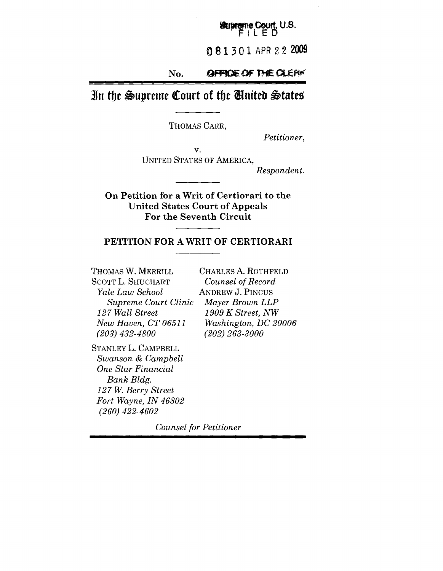#### Stupreme Court, U.S. ILED

081301 APR 22 2009

#### No. **GFFICIE OF THE CLEAK**

## In the Supreme Court of the United States

THOMAS CARR,

*Petitioner,*

v. UNITED STATES OF AMERICA,

*Respondent.*

**On Petition for a Writ of Certiorari to the United States Court of Appeals For the Seventh Circuit**

### **PETITION FOR A WRIT OF CERTIORARI**

THOMAS W. MERRILL SCOTT L. SHUCHART *Yale Law School Supreme Court Clinic 127 Wall Street New Haven, CT 06511 (203) 432-4800*

CHARLES A. ROTHFELD *Counsel of Record* ANDREW J. PINCUS *Mayer Brown LLP 1909 K Street, NW Washington, DC 20006 (202) 263-3000*

STANLEY L. CAMPBELL *Swanson & Campbell One Star Financial Bank Bldg. 127 W. Berry Street Fort Wayne, IN 46802 (260) 422-4602*

*Counsel for Petitioner*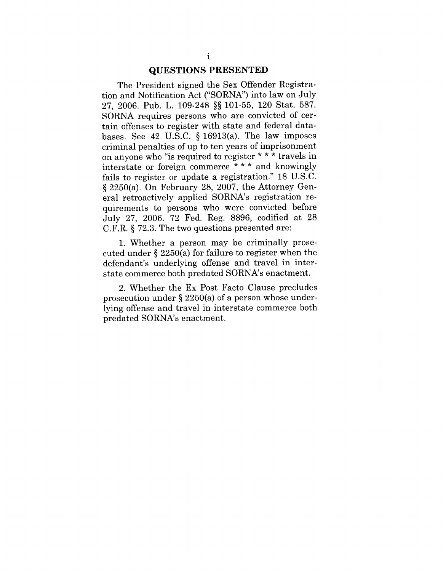#### **QUESTIONS PRESENTED**

The President signed the Sex Offender Registration and Notification Act ("SORNA") into law on July 27, 2006. Pub. L. 109-248 §§ 101-55, 120 Stat. 587. SORNA requires persons who are convicted of certain offenses to register with state and federal databases. See 42 U.S.C.  $\S$  16913(a). The law imposes criminal penalties of up to ten years of imprisonment on anyone who "is required to register \* \* \* travels in interstate or foreign commerce \* \* \* and knowingly fails to register or update a registration." 18 U.S.C. § 2250(a). On February 28, 2007, the Attorney General retroactively applied SORNA's registration requirements to persons who were convicted before July 27, 2006. 72 Fed. Reg. 8896, codified at 28 C.F.R. § 72.3. The two questions presented are:

1. Whether a person may be criminally prosecuted under § 2250(a) for failure to register when the defendant's underlying offense and travel in interstate commerce both predated SORNA's enactment.

2. Whether the Ex Post Facto Clause precludes prosecution under § 2250(a) of a person whose underlying offense and travel in interstate commerce both predated SORNA's enactment.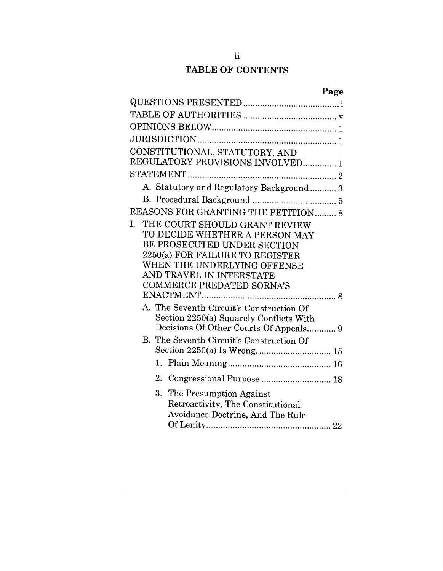## TABLE OF CONTENTS

|    | CONSTITUTIONAL, STATUTORY, AND           |
|----|------------------------------------------|
|    | REGULATORY PROVISIONS INVOLVED 1         |
|    |                                          |
|    | A. Statutory and Regulatory Background 3 |
|    |                                          |
|    | REASONS FOR GRANTING THE PETITION 8      |
| I. | THE COURT SHOULD GRANT REVIEW            |
|    | TO DECIDE WHETHER A PERSON MAY           |
|    | BE PROSECUTED UNDER SECTION              |
|    | 2250(a) FOR FAILURE TO REGISTER          |
|    | WHEN THE UNDERLYING OFFENSE              |
|    | AND TRAVEL IN INTERSTATE                 |
|    | <b>COMMERCE PREDATED SORNA'S</b>         |
|    |                                          |
|    | A. The Seventh Circuit's Construction Of |
|    | Section 2250(a) Squarely Conflicts With  |
|    | Decisions Of Other Courts Of Appeals 9   |
|    | B. The Seventh Circuit's Construction Of |
|    |                                          |
|    |                                          |
|    | 2. Congressional Purpose  18             |
|    | 3. The Presumption Against               |
|    | Retroactivity, The Constitutional        |
|    | Avoidance Doctrine, And The Rule         |
|    |                                          |
|    |                                          |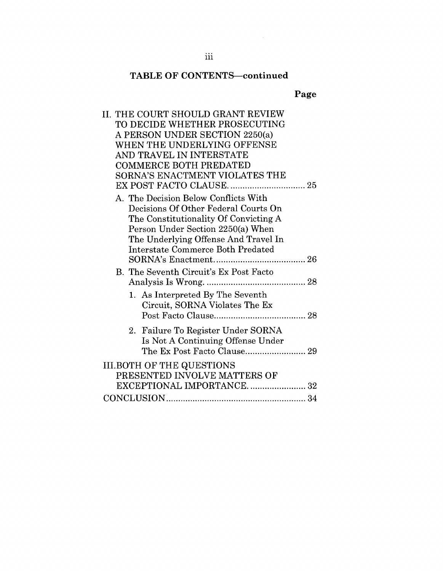## **TABLE OF CONTENTS--continued**

## **Page**

| <b>II. THE COURT SHOULD GRANT REVIEW</b> |
|------------------------------------------|
| TO DECIDE WHETHER PROSECUTING            |
| A PERSON UNDER SECTION 2250(a)           |
| WHEN THE UNDERLYING OFFENSE              |
| AND TRAVEL IN INTERSTATE                 |
| <b>COMMERCE BOTH PREDATED</b>            |
| SORNA'S ENACTMENT VIOLATES THE           |
|                                          |
| A. The Decision Below Conflicts With     |
| Decisions Of Other Federal Courts On     |
| The Constitutionality Of Convicting A    |
| Person Under Section 2250(a) When        |
| The Underlying Offense And Travel In     |
| <b>Interstate Commerce Both Predated</b> |
|                                          |
| B. The Seventh Circuit's Ex Post Facto   |
|                                          |
| 1. As Interpreted By The Seventh         |
| Circuit, SORNA Violates The Ex           |
|                                          |
|                                          |
| 2. Failure To Register Under SORNA       |
| Is Not A Continuing Offense Under        |
|                                          |
| <b>III.BOTH OF THE QUESTIONS</b>         |
| PRESENTED INVOLVE MATTERS OF             |
| EXCEPTIONAL IMPORTANCE32                 |
|                                          |
|                                          |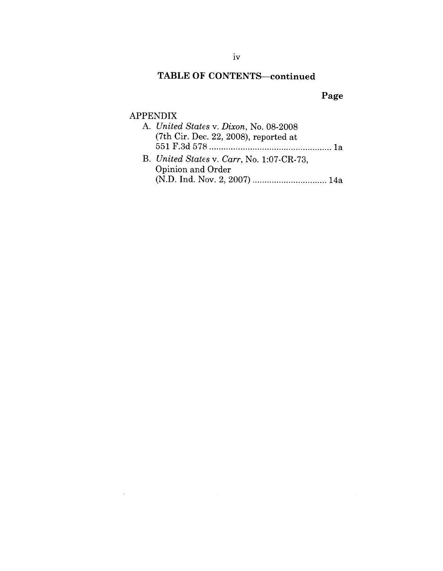## TABLE OF CONTENTS-continued

## **Page**

### APPENDIX

 $\sim 10^{-1}$ 

| A. United States v. Dixon, No. 08-2008    |
|-------------------------------------------|
| $(7th$ Cir. Dec. 22, 2008), reported at   |
|                                           |
| B. United States v. Carr, No. 1:07-CR-73. |
| Opinion and Order                         |
|                                           |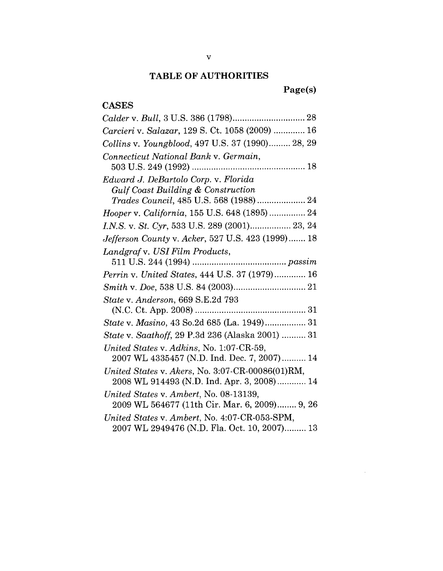### **TABLE OF AUTHORITIES**

## **Page(s)**

 $\sim 10^7$ 

| <b>CASES</b>                                                                                   |
|------------------------------------------------------------------------------------------------|
|                                                                                                |
| Carcieri v. Salazar, 129 S. Ct. 1058 (2009)  16                                                |
| Collins v. Youngblood, 497 U.S. 37 (1990) 28, 29                                               |
| Connecticut National Bank v. Germain,                                                          |
| Edward J. DeBartolo Corp. v. Florida                                                           |
| Gulf Coast Building & Construction                                                             |
|                                                                                                |
| Hooper v. California, 155 U.S. 648 (1895)  24                                                  |
|                                                                                                |
| <i>Jefferson County v. Acker</i> , 527 U.S. 423 (1999) 18                                      |
| Landgraf v. USI Film Products,                                                                 |
| Perrin v. United States, 444 U.S. 37 (1979) 16                                                 |
|                                                                                                |
| State v. Anderson, 669 S.E.2d 793                                                              |
|                                                                                                |
| State v. Masino, 43 So.2d 685 (La. 1949) 31                                                    |
| State v. Saathoff, 29 P.3d 236 (Alaska 2001)  31                                               |
| United States v. Adkins, No. 1:07-CR-59,<br>2007 WL 4335457 (N.D. Ind. Dec. 7, 2007) 14        |
| United States v. Akers, No. 3:07-CR-00086(01)RM,<br>2008 WL 914493 (N.D. Ind. Apr. 3, 2008) 14 |
| United States v. Ambert, No. 08-13139,<br>2009 WL 564677 (11th Cir. Mar. 6, 2009) 9, 26        |
| United States v. Ambert, No. 4:07-CR-053-SPM,<br>2007 WL 2949476 (N.D. Fla. Oct. 10, 2007) 13  |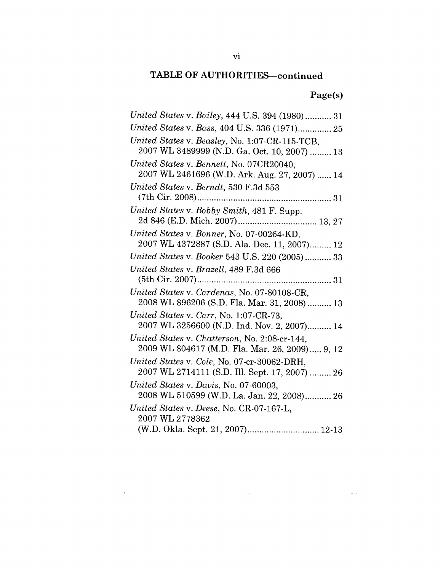## **Page(s)**

| United States v. Bailey, 444 U.S. 394 (1980) 31      |
|------------------------------------------------------|
|                                                      |
| United States v. Beasley, No. 1:07-CR-115-TCB,       |
| 2007 WL 3489999 (N.D. Ga. Oct. 10, 2007)  13         |
| United States v. Bennett, No. 07CR20040,             |
| 2007 WL 2461696 (W.D. Ark. Aug. 27, 2007)  14        |
| United States v. Berndt, 530 F.3d 553                |
|                                                      |
| United States v. Bobby Smith, 481 F. Supp.           |
|                                                      |
| United States v. Bonner, No. 07-00264-KD,            |
| 2007 WL 4372887 (S.D. Ala. Dec. 11, 2007) 12         |
| United States v. Booker 543 U.S. 220 (2005) 33       |
| United States v. Brazell, 489 F.3d 666               |
|                                                      |
| United States v. Cardenas, No. 07-80108-CR,          |
|                                                      |
| 2008 WL 896206 (S.D. Fla. Mar. 31, 2008)  13         |
| United States v. Carr, No. 1:07-CR-73,               |
| 2007 WL 3256600 (N.D. Ind. Nov. 2, 2007) 14          |
| United States v. Chatterson, No. 2:08-cr-144,        |
| 2009 WL 804617 (M.D. Fla. Mar. 26, 2009) 9, 12       |
| United States v. Cole, No. 07-cr-30062-DRH,          |
| 2007 WL 2714111 (S.D. Ill. Sept. 17, 2007)  26       |
| United States v. Davis, No. 07-60003,                |
| 2008 WL 510599 (W.D. La. Jan. 22, 2008) 26           |
| United States v. Deese, No. CR-07-167-L,             |
| 2007 WL 2778362<br>(W.D. Okla. Sept. 21, 2007) 12-13 |

 $\mathcal{L}^{\mathcal{L}}(\mathcal{L}^{\mathcal{L}})$  and  $\mathcal{L}^{\mathcal{L}}(\mathcal{L}^{\mathcal{L}})$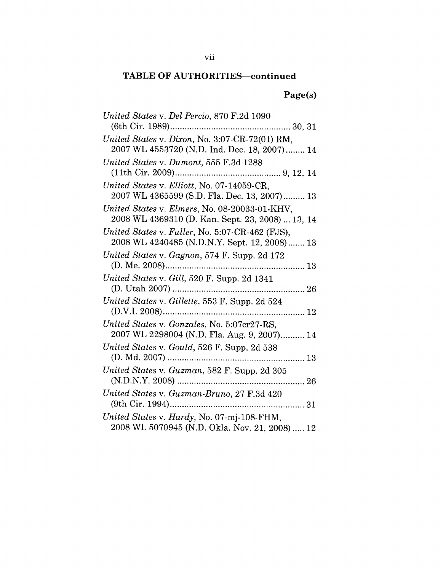## **Page(s)**

| United States v. Del Percio, 870 F.2d 1090                                                        |
|---------------------------------------------------------------------------------------------------|
| United States v. Dixon, No. 3:07-CR-72(01) RM,<br>2007 WL 4553720 (N.D. Ind. Dec. 18, 2007) 14    |
| United States v. Dumont, 555 F.3d 1288                                                            |
| United States v. Elliott, No. 07-14059-CR,<br>2007 WL 4365599 (S.D. Fla. Dec. 13, 2007) 13        |
| United States v. Elmers, No. 08-20033-01-KHV,<br>2008 WL 4369310 (D. Kan. Sept. 23, 2008)  13, 14 |
| United States v. Fuller, No. 5:07-CR-462 (FJS),<br>2008 WL 4240485 (N.D.N.Y. Sept. 12, 2008) 13   |
| United States v. Gagnon, 574 F. Supp. 2d 172                                                      |
| United States v. Gill, 520 F. Supp. 2d 1341                                                       |
| United States v. Gillette, 553 F. Supp. 2d 524                                                    |
| United States v. Gonzales, No. 5:07cr27-RS,<br>2007 WL 2298004 (N.D. Fla. Aug. 9, 2007) 14        |
| United States v. Gould, 526 F. Supp. 2d 538                                                       |
| United States v. Guzman, 582 F. Supp. 2d 305                                                      |
| United States v. Guzman-Bruno, 27 F.3d 420                                                        |
| United States v. Hardy, No. 07-mj-108-FHM,<br>2008 WL 5070945 (N.D. Okla. Nov. 21, 2008)  12      |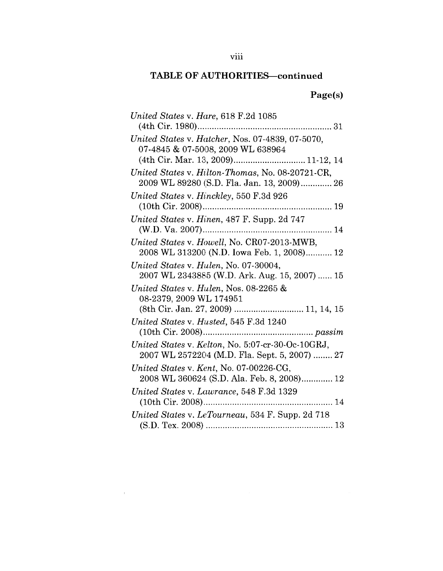## **Page(s)**

| United States v. Hare, 618 F.2d 1085              |
|---------------------------------------------------|
|                                                   |
| United States v. Hatcher, Nos. 07-4839, 07-5070,  |
| 07-4845 & 07-5008, 2009 WL 638964                 |
| (4th Cir. Mar. 13, 2009) 11-12, 14                |
| United States v. Hilton-Thomas, No. 08-20721-CR,  |
| 2009 WL 89280 (S.D. Fla. Jan. 13, 2009) 26        |
| United States v. Hinckley, 550 F.3d 926           |
|                                                   |
| United States v. Hinen, 487 F. Supp. 2d 747       |
|                                                   |
| United States v. Howell, No. CR07-2013-MWB,       |
| 2008 WL 313200 (N.D. Iowa Feb. 1, 2008) 12        |
| United States v. Hulen, No. 07-30004,             |
| 2007 WL 2343885 (W.D. Ark. Aug. 15, 2007)  15     |
| United States v. Hulen, Nos. 08-2265 $\&$         |
| 08-2379, 2009 WL 174951                           |
| (8th Cir. Jan. 27, 2009)  11, 14, 15              |
| United States v. Husted, 545 F.3d 1240            |
|                                                   |
| United States v. Kelton, No. 5:07-cr-30-Oc-10GRJ, |
| 2007 WL 2572204 (M.D. Fla. Sept. 5, 2007)  27     |
| United States v. Kent, No. 07-00226-CG,           |
| 2008 WL 360624 (S.D. Ala. Feb. 8, 2008) 12        |
| United States v. Lawrance, 548 F.3d 1329          |
|                                                   |
| United States v. LeTourneau, 534 F. Supp. 2d 718  |
|                                                   |

 $\label{eq:1} \mathbf{E}^{(1)} = \mathbf{E}^{(1)} \mathbf{E}^{(1)}$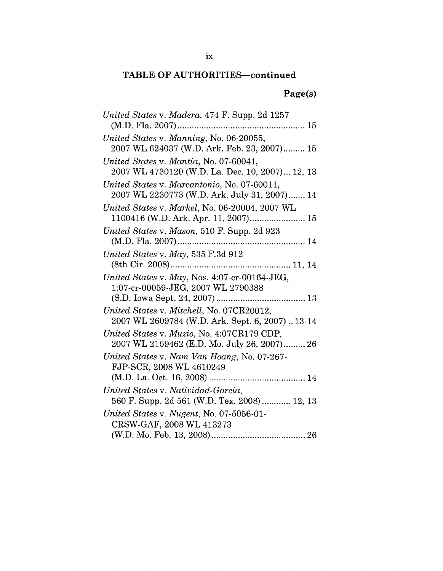## **Page(s)**

| United States v. Madera, 474 F. Supp. 2d 1257<br>$(M.D. Fla. 2007)$                         |
|---------------------------------------------------------------------------------------------|
| United States v. Manning, No. 06-20055,<br>2007 WL 624037 (W.D. Ark. Feb. 23, 2007) 15      |
| United States v. Mantia, No. 07-60041,<br>2007 WL 4730120 (W.D. La. Dec. 10, 2007) 12, 13   |
| United States v. Marcantonio, No. 07-60011,<br>2007 WL 2230773 (W.D. Ark. July 31, 2007) 14 |
| United States v. Markel, No. 06-20004, 2007 WL                                              |
| United States v. Mason, 510 F. Supp. 2d 923                                                 |
| United States v. May, 535 F.3d 912                                                          |
| United States v. May, Nos. 4:07-cr-00164-JEG,<br>1:07-cr-00059-JEG, 2007 WL 2790388         |
| United States v. Mitchell, No. 07CR20012,<br>2007 WL 2609784 (W.D. Ark. Sept. 6, 2007)13-14 |
| United States v. Muzio, No. 4:07CR179 CDP,<br>2007 WL 2159462 (E.D. Mo. July 26, 2007) 26   |
| United States v. Nam Van Hoang, No. 07-267-<br>FJP-SCR, 2008 WL 4610249                     |
| United States v. Natividad-Garcia,<br>560 F. Supp. 2d 561 (W.D. Tex. 2008) 12, 13           |
| United States v. Nugent, No. 07-5056-01-<br>CRSW-GAF, 2008 WL 413273                        |
|                                                                                             |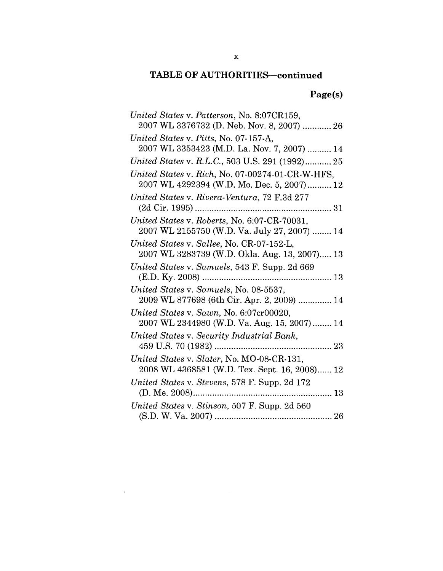## **Page(s)**

 $\label{eq:2.1} \mathcal{L} = \mathcal{L} \left( \mathcal{L} \right) \left( \mathcal{L} \right) \left( \mathcal{L} \right) \left( \mathcal{L} \right)$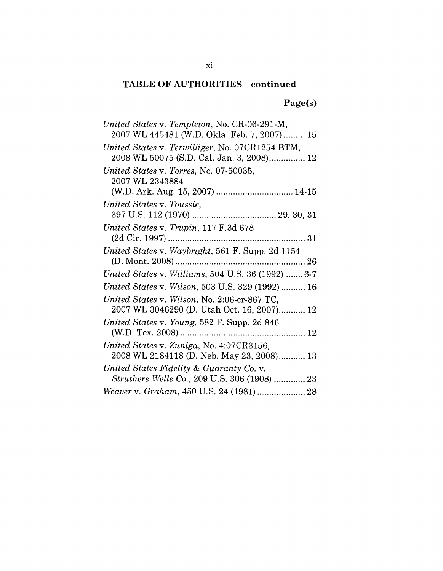## **Page(s)**

| United States v. Templeton, No. CR-06-291-M,<br>2007 WL 445481 (W.D. Okla. Feb. 7, 2007) 15  |
|----------------------------------------------------------------------------------------------|
| United States v. Terwilliger, No. 07CR1254 BTM,<br>2008 WL 50075 (S.D. Cal. Jan. 3, 2008) 12 |
| United States v. Torres, No. 07-50035,<br>2007 WL 2343884                                    |
| United States v. Toussie,                                                                    |
| United States v. Trupin, 117 F.3d 678                                                        |
| United States v. Waybright, 561 F. Supp. 2d 1154                                             |
| United States v. Williams, 504 U.S. 36 (1992)  6-7                                           |
| United States v. Wilson, 503 U.S. 329 (1992)  16                                             |
| United States v. Wilson, No. 2:06-cr-867 TC,<br>2007 WL 3046290 (D. Utah Oct. 16, 2007) 12   |
| United States v. Young, 582 F. Supp. 2d 846                                                  |
| United States v. Zuniga, No. 4:07CR3156,<br>2008 WL 2184118 (D. Neb. May 23, 2008) 13        |
| United States Fidelity & Guaranty Co. v.<br>Struthers Wells Co., 209 U.S. 306 (1908)  23     |
|                                                                                              |

 $\sim 10$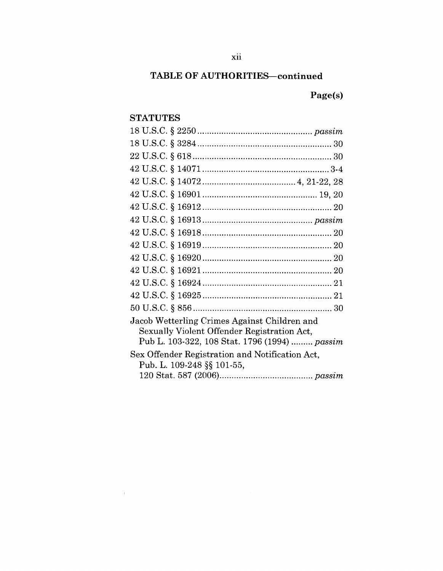## **Page(s)**

## **STATUTES**

 $\sim 10^{-11}$ 

| Jacob Wetterling Crimes Against Children and<br>Sexually Violent Offender Registration Act, |
|---------------------------------------------------------------------------------------------|
| Pub L. 103-322, 108 Stat. 1796 (1994)  passim                                               |
| Sex Offender Registration and Notification Act,                                             |
| Pub. L. 109-248 §§ 101-55,                                                                  |
|                                                                                             |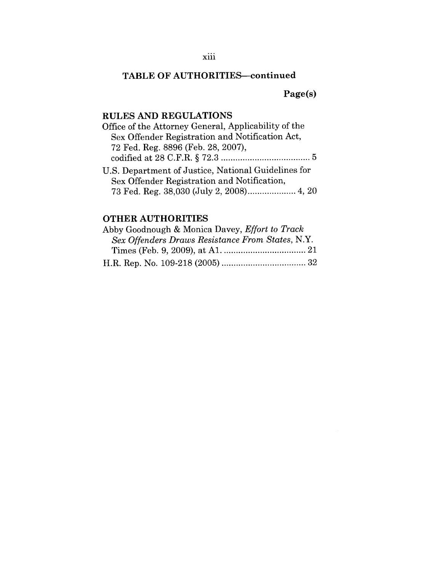**Page(s)**

### **RULES AND REGULATIONS**

| Sex Offender Registration and Notification Act,     |
|-----------------------------------------------------|
|                                                     |
| 72 Fed. Reg. 8896 (Feb. 28, 2007),                  |
|                                                     |
| U.S. Department of Justice, National Guidelines for |
| Sex Offender Registration and Notification,         |
| 73 Fed. Reg. 38,030 (July 2, 2008) 4, 20            |

### OTHER **AUTHORITIES**

| Abby Goodnough & Monica Davey, Effort to Track   |
|--------------------------------------------------|
| Sex Offenders Draws Resistance From States, N.Y. |
|                                                  |
|                                                  |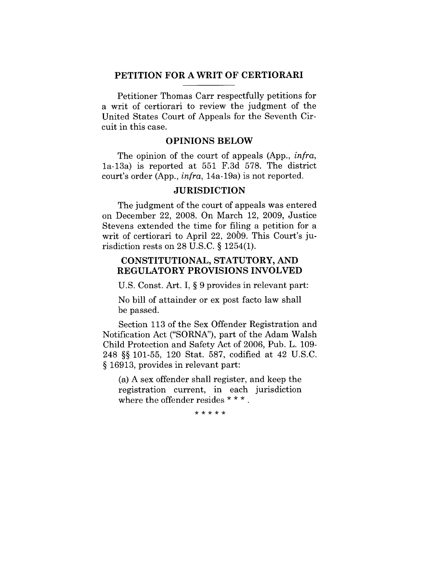#### **PETITION FOR A WRIT OF CERTIORARI**

Petitioner Thomas Carr respectfully petitions for a writ of certiorari to review the judgment of the United States Court of Appeals for the Seventh Circuit in this case.

### **OPINIONS BELOW**

The opinion of the court of appeals (App., *infra,* la-13a) is reported at 551 F.3d 578. The district court's order (App., *infra,* 14a-19a) is not reported.

### **JURISDICTION**

The judgment of the court of appeals was entered on December 22, 2008. On March 12, 2009, Justice Stevens extended the time for filing a petition for a writ of certiorari to April 22, 2069. This Court's jurisdiction rests on 28 U.S.C. § 1254(1).

### **CONSTITUTIONAL,** STATUTORY, AND **REGULATORY PROVISIONS INVOLVED**

U.S. Const. Art. I, § 9 provides in relevant part:

No bill of attainder or ex post facto law shall be passed.

Section 113 of the Sex Offender Registration and Notification Act ("SORNA"), part of the Adam Walsh Child Protection and Safety Act of 2006, Pub. L. 109- 248 §§ 101-55, 120 Stat. 587, codified at 42 U.S.C. § 16913, provides in relevant part:

(a) A sex offender shall register, and keep the registration current, in each jurisdiction where the offender resides \* \* \*.

\* \* \* \* \*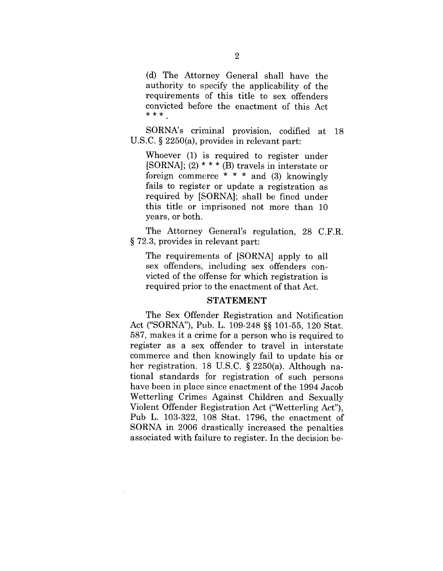(d) The Attorney General shall have the authority to specify the applicability of the requirements of this title to sex offenders convicted before the enactment of this Act  $***$ .

SORNA's criminal provision, codified at 18 U.S.C. § 2250(a), provides in relevant part:

Whoever (1) is required to register under [SORNA]; (2)  $* * * (B)$  travels in interstate or foreign commerce  $* * *$  and (3) knowingly fails to register or update a registration as required by [SORNA]; shall be fined under this title or imprisoned not more than 10 years, or both.

The Attorney General's regulation, 28 C.F.R. § 72.3, provides in relevant part:

The requirements of [SORNA] apply to all sex offenders, including sex offenders convicted of the offense for which registration is required prior to the enactment of that Act.

#### **STATEMENT**

The Sex Offender Registration and Notification Act ("SORNA"), Pub. L. 109-248 §§ 101-55, 120 Stat. 587, makes it a crime for a person who is required to register as a sex offender to travel in interstate commerce and then knowingly fail to update his or her registration. 18 U.S.C. § 2250(a). Although national standards for registration of such persons have been in place since enactment of the 1994 Jacob Wetterling Crimes Against Children and Sexually Violent Offender Registration Act ("Wetterling Act"), Pub L. 103-322, 108 Stat. 1796, the enactment of SORNA in 2006 drastically increased the penalties associated with failure to register. In the decision be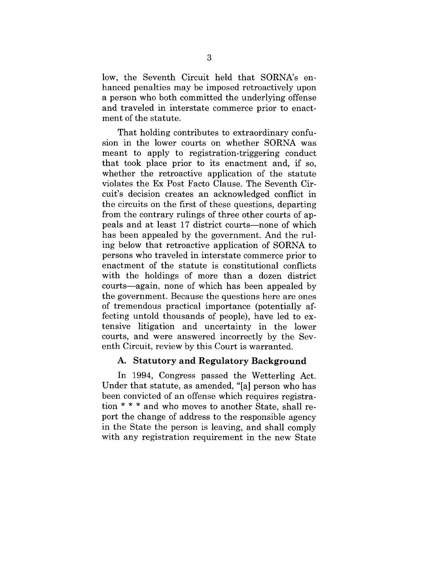low, the Seventh Circuit held that SORNA's enhanced penalties may be imposed retroactively upon a person who both committed the underlying offense and traveled in interstate commerce prior to enactment of the statute.

That holding contributes to extraordinary confusion in the lower courts on whether SORNA was meant to apply to registration-triggering conduct that took place prior to its enactment and, if so, whether the retroactive application of the statute violates the Ex Post Facto Clause. The Seventh Circuit's decision creates an acknowledged conflict in the circuits on the first of these questions, departing from the contrary rulings of three other courts of appeals and at least 17 district courts—none of which has been appealed by the government. And the ruling below that retroactive application of SORNA to persons who traveled in interstate commerce prior to enactment of the statute is constitutional conflicts with the holdings of more than a dozen district courts--again, none of which has been appealed by the government. Because the questions here are ones of tremendous practical importance (potentially affecting untold thousands of people), have led to extensive litigation and uncertainty in the lower courts, and were answered incorrectly by the Seventh Circuit, review by this Court is warranted.

#### **A. Statutory and Regulatory Background**

In 1994, Congress passed the Wetterling Act. Under that statute, as amended, "[a] person who has been convicted of an offense which requires registration \* \* \* and who moves to another State, shall report the change of address to the responsible agency in the State the person is leaving, and shall comply with any registration requirement in the new State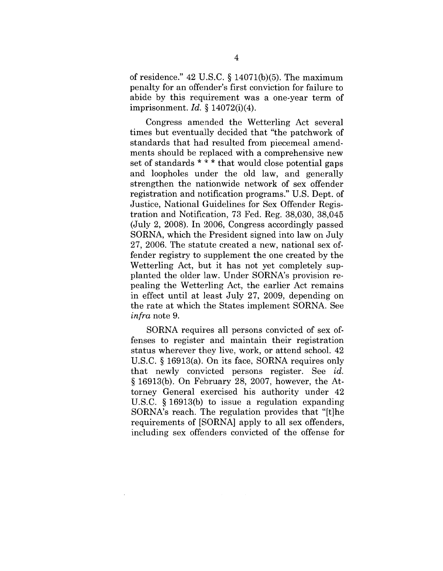of residence." 42 U.S.C. § 14071(b)(5). The maximum penalty for an offender's first conviction for failure to abide by this requirement was a one-year term of imprisonment. *Id.* § 14072(i)(4).

Congress amended the Wetterling Act several times but eventually decided that "the patchwork of standards that had resulted from piecemeal amendments should be replaced with a comprehensive new set of standards \* \* \* that would close potential gaps and loopholes under the old law, and generally strengthen the nationwide network of sex offender registration and notification programs." U.S. Dept. of Justice, National Guidelines for Sex Offender Registration and Notification, 73 Fed. Reg. 38,030, 38,045 (July 2, 2008). In 2006, Congress accordingly passed SORNA, which the President signed into law on July  $27, 2006$ . The statute created a new, national sex offender registry to supplement the one created by the Wetterling Act, but it has not yet completely supplanted the older law. Under SORNA's provision repealing the Wetterling Act, the earlier Act remains in effect until at least July 27, 2009, depending on the rate at which the States implement SORNA. See *infra* note 9.

SORNA requires all persons convicted of sex offenses to register and maintain their registration status wherever they live, work, or attend school. 42 U.S.C. § 16913(a). On its face, SORNA requires only that newly convicted persons register. See *id.* § 16913(b). On February 28, 2007, however, the Attorney General exercised his authority under 42 U.S.C. § 16913(b) to issue a regulation expanding SORNA's reach. The regulation provides that "[t]he requirements of [SORNA] apply to all sex offenders, including sex offenders convicted of the offense for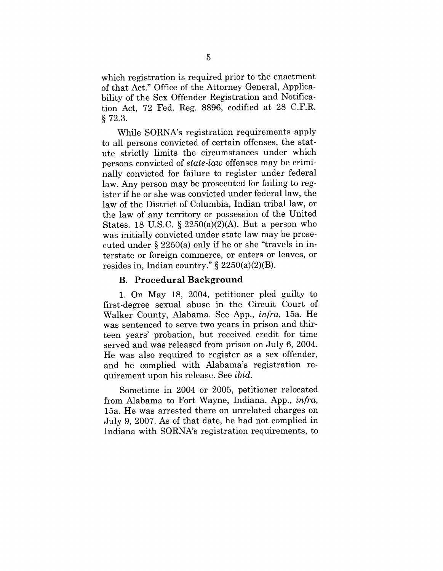which registration is required prior to the enactment of that Act." Office of the Attorney General, Applicability of the Sex Offender Registration and Notification Act, 72 Fed. Reg. 8896, codified at 28 C.F.R. § 72.3.

While SORNA's registration requirements apply to all persons convicted of certain offenses, the statute strictly limits the circumstances under which persons convicted of *state-law* offenses may be criminally convicted for failure to register under federal law. Any person may be prosecuted for failing to register if he or she was convicted under federal law, the law of the District of Columbia, Indian tribal law, or the law of any territory or possession of the United States. 18 U.S.C. § 2250(a)(2)(A). But a person who was initially convicted under state law may be prosecuted under § 2250(a) only if he or she "travels in interstate or foreign commerce, or enters or leaves, or resides in, Indian country."  $\S 2250(a)(2)(B)$ .

#### **B. Procedural Background**

1. On May 18, 2004, petitioner pled guilty to first-degree sexual abuse in the Circuit Court of Walker County, Alabama. See App., *infra,* 15a. He was sentenced to serve two years in prison and thirteen years' probation, but received credit for time served and was released from prison on July 6, 2004. He was also required to register as a sex offender, and he complied with Alabama's registration requirement upon his release. See *ibid.*

Sometime in 2004 or 2005, petitioner relocated from Alabama to Fort Wayne, Indiana. App., *infra,* 15a. He was arrested there on unrelated charges on July 9, 2007. As of that date, he had not complied in Indiana with SORNA's registration requirements, to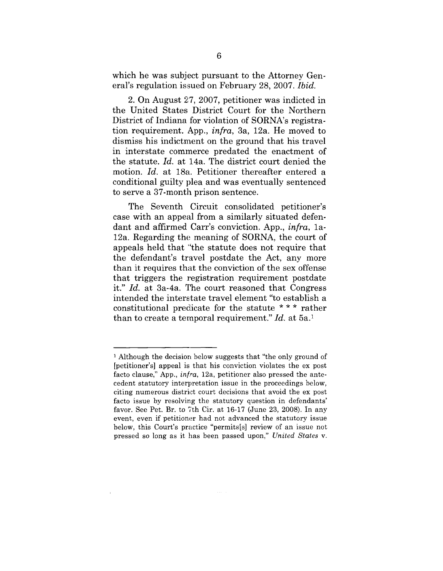which he was subject pursuant to the Attorney General's regulation issued on February 28, 2007. *Ibid.*

2. On August 27, 2007, petitioner was indicted in the United States District Court for the Northern District of Indiana for violation of SORNA's registration requirement. App., *infra,* 3a, 12a. He moved to dismiss his indictment on the ground that his travel in interstate commerce predated the enactment of the statute. *Id.* at 14a. The district court denied the motion. *Id.* at 18a. Petitioner thereafter entered a conditional guilty plea and was eventually sentenced to serve a 37-month prison sentence.

The Seventh Circuit consolidated petitioner's case with an appeal from a similarly situated defendant and affirmed Carr's conviction. App., *infra,* la-12a. Regarding the meaning of SORNA, the court of appeals held that "the statute does not require that the defendant's travel postdate the Act, any more than it requires that the conviction of the sex offense that triggers the registration requirement postdate it." *Id.* at 3a-4a. The court reasoned that Congress intended the interstate travel element "to establish a constitutional predicate for the statute \* \* \* rather than to create a temporal requirement." *Id.* at 5a.1

 $<sup>1</sup>$  Although the decision below suggests that "the only ground of</sup> [petitioner's] appeal is that his conviction violates the ex post facto clause," App., *infra,* 12a, petitioner also pressed the antecedent statutory interpretation issue in the proceedings below, citing numerous district court decisions that avoid the ex post facto issue by resolving the statutory question in defendants' favor. See Pet. Br. to 7th Cir. at 16-17 (June 23, 2008). In any event, even if petitioner had not advanced the statutory issue below, this Court's practice "permits[s] review of an issue not pressed so long as it has been passed upon," *United States v.*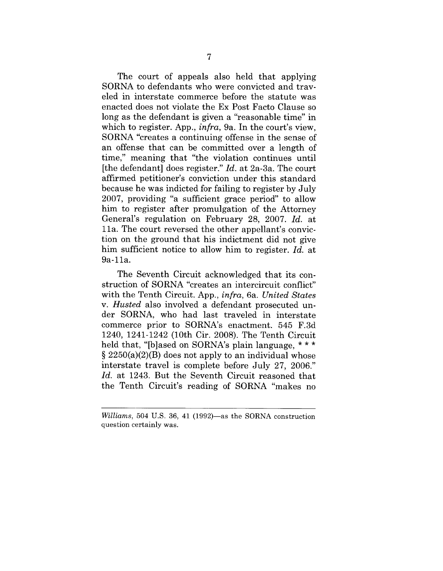The court of appeals also held that applying SORNA to defendants who were convicted and traveled in interstate commerce before the statute was enacted does not violate the Ex Post Facto Clause so long as the defendant is given a "reasonable time" in which to register. App., *infra,* 9a. In the court's view, SORNA "creates a continuing offense in the sense of an offense that can be committed over a length of time," meaning that "the violation continues until [the defendant] does register." *Id.* at 2a-3a. The court affirmed petitioner's conviction under this standard because he was indicted for failing to register by July 2007, providing "a sufficient grace period" to allow him to register after promulgation of the Attorney General's regulation on February 28, 2007. *Id.* at 11a. The court reversed the other appellant's conviction on the ground that his indictment did not give him sufficient notice to allow him to register. *Id.* at 9a-11a.

The Seventh Circuit acknowledged that its construction of SORNA "creates an intercircuit conflict" with the Tenth Circuit. App., *infra,* 6a. *United States v. Husted* also involved a defendant prosecuted under SORNA, who had last traveled in interstate commerce prior to SORNA's enactment. 545 F.3d 1240, 1241-1242 (10th Cir. 2008). The Tenth Circuit held that, "[b]ased on SORNA's plain language, \*\*\*  $\S 2250(a)(2)(B)$  does not apply to an individual whose interstate travel is complete before July 27, 2006." *Id.* at 1243. But the Seventh Circuit reasoned that the Tenth Circuit's reading of SORNA "makes no

*Williams,* 504 U.S. 36, 41 (1992)—as the SORNA construction question certainly was.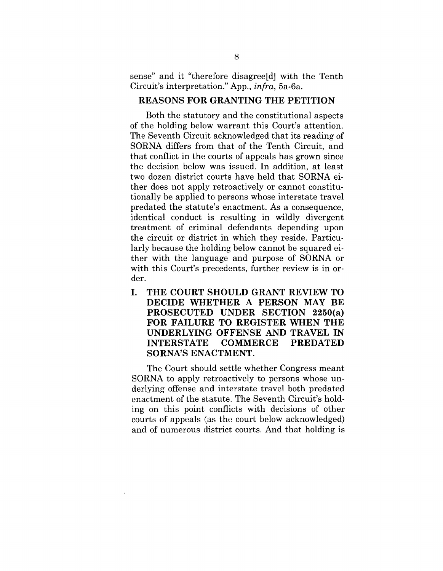sense" and it "therefore disagree[d] with the Tenth Circuit's interpretation." App., *infra,* 5a-6a.

#### **REASONS FOR GRANTING THE PETITION**

Both the statutory and the constitutional aspects of the holding below warrant this Court's attention. The Seventh Circuit acknowledged that its reading of SORNA differs from that of the Tenth Circuit, and that conflict in the courts of appeals has grown since the decision below was issued. In addition, at least two dozen district courts have held that SORNA either does not apply retroactively or cannot constitutionally be applied to persons whose interstate travel predated the statute's enactment. As a consequence, identical conduct is resulting in wildly divergent treatment of criminal defendants depending upon the circuit or district in which they reside. Particularly because the holding below cannot be squared either with the language and purpose of SORNA or with this Court's precedents, further review is in order.

**I. THE COURT SHOULD GRANT REVIEW TO DECIDE WHETHER A PERSON MAY BE PROSECUTED UNDER SECTION 2250(a) FOR FAILURE TO REGISTER WHEN THE UNDERLYING OFFENSE AND TRAVEL IN INTERSTATE COMMERCE PREDATED SORNA'S ENACTMENT.**

The Court should settle whether Congress meant SORNA to apply retroactively to persons whose underlying offense and interstate travel both predated enactment of the statute. The Seventh Circuit's holding on this point conflicts with decisions of other courts of appeals (as the court below acknowledged) and of numerous district courts. And that holding is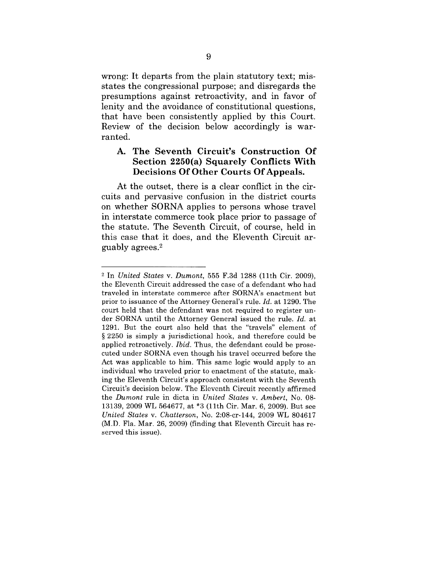wrong: It departs from the plain statutory text; misstates the congressional purpose; and disregards the presumptions against retroactivity, and in favor of lenity and the avoidance of constitutional questions, that have been consistently applied by this Court. Review of the decision below accordingly is warranted.

### A. **The Seventh Circuit's Construction Of Section 2250(a) Squarely Conflicts With Decisions Of Other Courts Of Appeals.**

At the outset, there is a clear conflict in the circuits and pervasive confusion in the district courts on whether SORNA applies to persons whose travel in interstate commerce took place prior to passage of the statute. The Seventh Circuit, of course, held in this case that it does, and the Eleventh Circuit arguably agrees.2

<sup>2</sup> In *United States v. Dumont,* 555 F.3d 1288 (11th Cir. 2009), the Eleventh Circuit addressed the case of a defendant who had traveled in interstate commerce after SORNA's enactment but prior to issuance of the Attorney General's rule. *Id.* at 1290. The court held that the defendant was not required to register under SORNA until the Attorney General issued the rule. *Id.* at 1291. But the court also held that the "travels" element of § 2250 is simply a jurisdictional hook, and therefore could be applied retroactively. *Ibid.* Thus, the defendant could be prosecuted under SORNA even though his travel occurred before the Act was applicable to him. This same logic would apply to an individual who traveled prior to enactment of the statute, making the Eleventh Circuit's approach consistent with the Seventh Circuit's decision below. The Eleventh Circuit recently affirmed the *Dumont* rule in dicta in *United States v. Ambert,* No. 08- 13139, 2009 WL 564677, at \*3 (11th Cir. Mar. 6, 2009). But see *United States v. Chatterson, No. 2:08-cr-144, 2009 WL 804617* (M.D. Fla. Mar. 26, 2009) (finding that Eleventh Circuit has reserved this issue).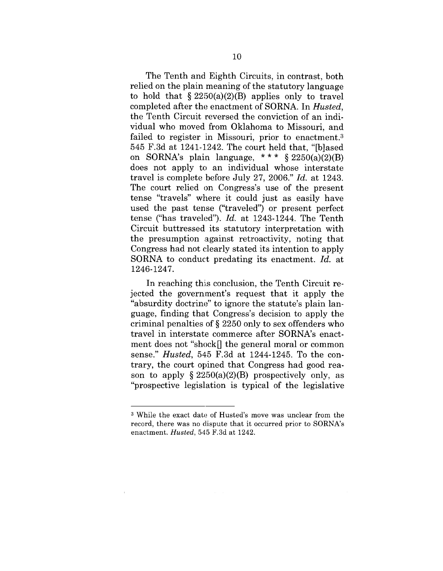The Tenth and Eighth Circuits, in contrast, both relied on the plain meaning of the statutory language to hold that  $\S 2250(a)(2)(B)$  applies only to travel completed after the enactment of SORNA. In *Husted,* the Tenth Circuit reversed the conviction of an individual who moved from Oklahoma to Missouri, and failed to register in Missouri, prior to enactment.<sup>3</sup> 545 F.3d at 1241-1242. The court held that, "[blased] on SORNA's plain language, \*\*\*  $§ 2250(a)(2)(B)$ does not apply to an individual whose interstate travel is complete before July 27, 2006." *Id.* at 1243. The court relied on Congress's use of the present tense "travels" where it could just as easily have used the past tense ("traveled") or present perfect tense ("has traveled"). *Id.* at 1243-1244. The Tenth Circuit buttressed its statutory interpretation with the presumption against retroactivity, noting that Congress had not clearly stated its intention to apply SORNA to conduct predating its enactment. *Id.* at 1246-1247.

In reaching this conclusion, the Tenth Circuit rejected the government's request that it apply the "absurdity doctrine" to ignore the statute's plain language, finding that Congress's decision to apply the criminal penalties of § 2250 only to sex offenders who travel in interstate commerce after SORNA's enactment does not "shock $\parallel$  the general moral or common sense." *Husted,* 545 F.3d at 1244-1245. To the contrary, the court opined that Congress had good reason to apply  $\S 2250(a)(2)(B)$  prospectively only, as "prospective legislation is typical of the legislative

<sup>3</sup> While the exact date of Husted's move was unclear from the record, there was no dispute that it occurred prior to SORNA's enactment. *Husted,* 545 F.3d at 1242.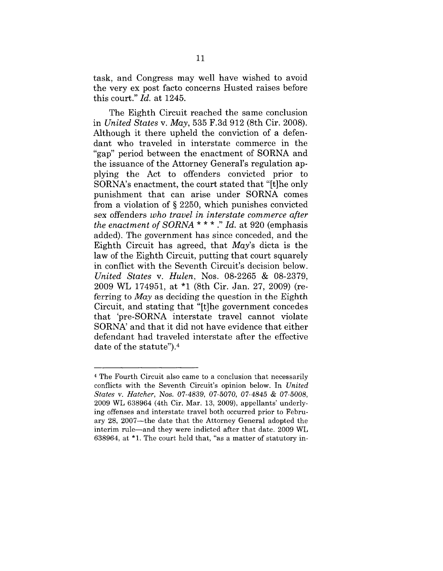task, and Congress may well have wished to avoid the very ex post facto concerns Husted raises before this court." *Id.* at 1245.

The Eighth Circuit reached the same conclusion in *United States v. May,* 535 F.3d 912 (8th Cir. 2008). Although it there upheld the conviction of a defendant who traveled in interstate commerce in the "gap" period between the enactment of SORNA and the issuance of the Attorney General's regulation applying the Act to offenders convicted prior to SORNA's enactment, the court stated that "It]he only punishment that can arise under SORNA comes from a violation of § 2250, which punishes convicted sex offenders *who travel in interstate commerce after the enactment of SORNA \* \* \* ." Id.* at 920 (emphasis added). The government has since conceded, and the Eighth Circuit has agreed, that *May's* dicta is the law of the Eighth Circuit, putting that court squarely in conflict with the Seventh Circuit's decision below. *United States v. Hulen,* Nos. 08-2265 & 08-2379, 2009 WL 174951, at "1 (8th Cir. Jan. 27, 2009) (referring to *May* as deciding the question in the Eighth Circuit, and stating that "[t]he government concedes that 'pre-SORNA interstate travel cannot violate SORNA' and that it did not have evidence that either defendant had traveled interstate after the effective date of the statute").4

<sup>4</sup> The Fourth Circuit also came to a conclusion that necessarily conflicts with the Seventh Circuit's opinion below. In *United States ~'. Hatcher,* Nos. *07-4839,* 07-5070, 07-4845 & *07-5008,* 2009 WL 638964 (4th Cir. Mar. 13, 2009), appellants' underlying offenses and interstate travel both occurred prior to February 28, 2007--the date that the Attorney General adopted the interim rule--and they were indicted after that date. 2009 WL 638964, at  $*1$ . The court held that, "as a matter of statutory in-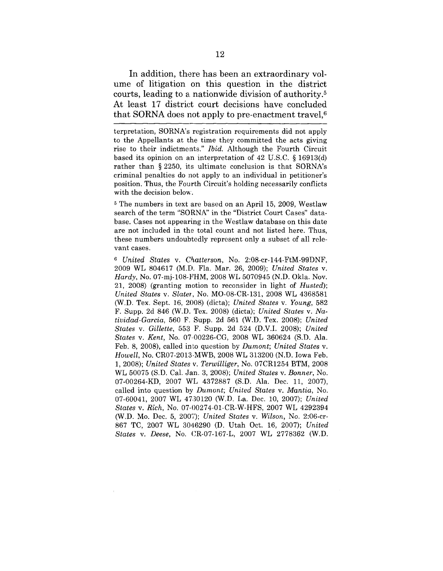In addition, there has been an extraordinary volume of litigation on this question in the district courts, leading to a nationwide division of authority.5 At least 17 district court decisions have concluded that SORNA does not apply to pre-enactment travel, $6$ 

terpretation, SORNA's registration requirements did not apply to the Appellants at the time they committed the acts giving rise to their indictmeats." *Ibid.* Although the Fourth Circuit based its opinion on an interpretation of 42 U.S.C. § 16913(d) rather than § 2250, its ultimate conclusion is that SORNA's criminal penalties do not apply to an individual in petitioner's position. Thus, the Fourth Circuit's holding necessarily conflicts with the decision below.

5 The numbers in text are based on an April 15, 2009, Westlaw search of the term "SORNA" in the "District Court Cases" database. Cases not appearing in the Westlaw database on this date are not included in the total count and not listed here. Thus, these numbers undoubtedly represent only a subset of all relevant cases.

<sup>6</sup> United States v. Chatterson, No. 2:08-cr-144-FtM-99DNF, 2009 WL 804617 (M.D. Fla. Mar. 26, 2009); *United States v. Hardy,* No. 07-mj-108-FHM, 2008 WL 5070945 (N.D. Okla. Nov. 21, 2008) (granting motion to reconsider in light of *Husted); United States v. Slater,* No. MO-08-CR-131, 2008 WL 4368581 (W.D. Tex. Sept. 16, 2(}08) (dicta); *United States v. Young,* 582 F. Supp. 2d 846 (W.D. Tex. 2008) (dicta); *United States v. Natividad-Garcia,* 560 F. Supp. 2d 561 (W.D. Tex. 2008); *United States v. Gillette,* 553 F. Supp. 2d 524 (D.V.I. 2008); *United States v. Kent,* No. 07.00226-CG, 2008 WL 360624 (S.D. Ala. Feb. 8, 2008), called into question by *Dumont; United States v. Howell,* No. CR07-2013-MWB, 2008 WL 313200 (N.D. Iowa Feb. 1, 2008); *United States v. Terwilliger,* No. 07CR1254 BTM, 2008 WL 50075 (S.D. Cal. Jan. 3, 2008); *United States v. Bonner,* No. 07-00264-KD, 2007 WL 4372887 (S.D. Ala. Dec. 11, 2007), called into question by *Dumont; United States v. Mantia,* No. 07-60041, 2007 WL 4730120 (W.D. La. Dec. 10, 2007); *United States v. Rich, No. 07-00274-01-CR-W-HFS, 2007 WL 4292394* (W.D. Mo. Dec. 5, 2007); *United States v. Wilson,* No. 2:06-cr-867 TC, 2007 WL 3046290 (D. Utah Oct. 16, 2007); *United States v. Deese,* No. CR-07-167-L, 2007 WL 2778362 (W.D.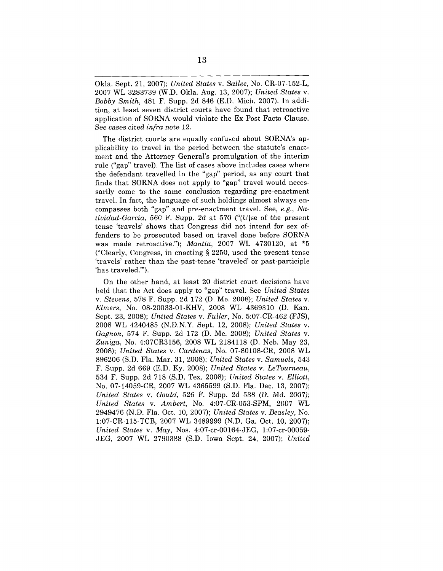Okla. Sept. 21, 2007); *United States v. Sallee,* No. CR-07-152-L, 2007 WL 3283739 (W.D. Okla. Aug. 13, 2007); *United States v. Bobby Smith,* 481 F. Supp. 2d 846 (E.D. Mich. 2007). In addition, at least seven district courts have found that retroactive application of SORNA would violate the Ex Post Facto Clause. See cases cited *infra note 12.*

The district courts are equally confused about SORNA's applicability to travel in the period between the statute's enactment and the Attorney General's promulgation of the interim rule ("gap" travel). The list of cases above includes cases where the defendant travelled in the "gap" period, as any court that finds that SORNA does not apply to "gap" travel would necessarily come to the same conclusion regarding pre-enactment travel. In fact, the language of such holdings almost always encompasses both "gap" and pre-enactment travel. See, *e.g., Natividad-Garcia,* 560 F. Supp. 2d at 570 ("[U]se of the present tense 'travels' shows that Congress did not intend for sex offenders to be prosecuted based on travel done before SORNA was made retroactive."); *Mantia,* 2007 WL 4730120, at \*5 ("Clearly, Congress, in enacting § 2250, used the present tense 'travels' rather than the past-tense 'traveled' or past-participle 'has traveled.'").

On the other hand, at least 20 district court decisions have held that the Act does apply to "gap" travel. See *United States vo Stevens,* 578 F. Supp. 2d 172 (D. Me. 2008); *United States v. Elmers,* No. 08-20033-01-KHV, 2008 WL 4369310 (D. Kan. Sept. 23, 2008); *United States v. Fuller,* No. 5:07-CR-462 (FJS), 2008 WL 4240485 (N.D.N.Y. Sept. 12, 2008); *United States v. Gagnon,* 574 F. Supp. 2d 172 (D. Me. 2008); *United States v. Zuniga,* No. 4:07CR3156, 2008 WL 2184118 (D. Neb. May 23, 2008); *United States v. Cardenas,* No. 07-80108-CR, 2008 WL 896206 (S.D. Fla. Mar. 31, 2008); *United States v. Samuels,* 543 F. Supp. 2d 669 (E.D. Ky. 2008); *United States v. LeTourneau,* 534 F. Supp. 2d 718 (S.D. Tex. 2008); *United States v. EIIiott,* No. 07-14059-CR, 2007 WL 4365599 (S.D. Fla. Dec. 13, 2007); *United States v. Gould,* 526 F. Supp. 2d *538* (D. Md. 2007); *United States v. Ambert,* No. 4:07-CR-053-SPM, 2007 WL 2949476 (N.D. Fla. Oct. 10, 2007); *United States v. Beasley,* No. I:07-CR-115-TCB, 2007 WL 3489999 (N.D. Ga. Oct. 10, 2007); *United States v. May,* Nos. 4:07-cr-00164-JEG, l:07-cr-00059- JEG, 2007 WL 2790388 (S.D. Iowa Sept. 24, 2007); *United*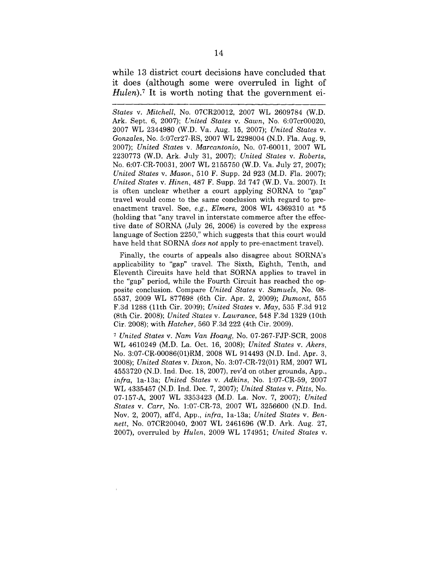while 13 district court decisions have concluded that it does (although some were overruled in light of *Hulen*).<sup>7</sup> It is worth noting that the government ei-

*States v. Mitchell,* No. 07CR20012, 2007 WL 2609784 (W.D. Ark. Sept. 6, 2007); *United States v. Sawn,* No. 6:07cr00020, 2007 WL 2344980 (W.D. Va. Aug. 15, 2007); *United States v. Gonzales,* No. 5:07cr27-.RS, 2007 WL 2298004 (N.D. Fla. Aug. 9, 2007); *United States v. Marcantonio,* No. 07-60011, 2007 WL 2230773 (W.D. Ark. July 31, 2007); *United States v. Roberts,* No. 6:07-CR-70031, 2007 WL 2155750 (W.D. Va. July 27, 2007); *United States v. Masor~,* 510 F. Supp. 2d 923 (M.D. Fla. 2007); *United States v. Hinen,* 487 F. Supp. 2d 747 (W.D. Va. 2007). It is often unclear whether a court applying SORNA to "gap" travel would come to the same conclusion with regard to preenactment travel. See, *e.g., Elmers,* 2008 WL 4369310 at \*5 (holding that "any travel in interstate commerce after the effective date of SORNA (July 26, 2006) is covered by the express language of Section 2250," which suggests that this court would have held that SORNA *does not* apply to pre-enactment travel).

Finally, the courts of appeals also disagree about SORNA's applicability to "gap" travel. The Sixth, Eighth, Tenth, and Eleventh Circuits have held that SORNA applies to travel in the "gap" period, while the Fourth Circuit has reached the opposite conclusion. Compare *United States v. Samuels,* No. 08- 5537, 2009 WL 877698 (6th Cir. Apr. 2, 2009); *Dumont,* 555 F.3d 1288 (11th Cir. 2009); *United States v. May,* 535 F.3d 912 (Sth Cir. 2008); *United States v. Lawrance,* 548 F.3d 1329 (10th Cir. 2008); with *Hatcher,* 560 F.3d 222 (4th Cir. 2009).

*7 United States v. Narn Van Hoang,* No. 07-267-FJP-SCR, 2008 WL 4610249 (M.D. La. Oct. 16, 2008); *United States v. Akers,* No. 3:07-CR-00086(01)RM, 2008 WL 914493 (N.D. Ind. Apr. 3, 2008); *United States v. Dixon,* No. 3:07-CR-72(01) RM, 2007 WL 4553720 (N.D. Ind. Dec. 18, 2007), rev'd on other grounds, App., *infra,* 1a-13a; *United States v. Adkins,* No. 1:07-CR-59, 2007 WL 4335457 (N.D. Ind. Dec. 7, 2007); *United States v. Pitts,* No. 07-157-A, 2007 WL 3353423 (M.D. La. Nov. 7, 2007); *United States v. Carr,* No. 1:07-CR-73, 2007 WL 3256600 (N.D. Ind. Nov. 2, 2007), affd, App., *infra,* la-13a; *United States v. Bennett,* No. 07CR20040, 2007 WL 2461696 (W.D. Ark. Aug. 27, 2007), overruled by *Hulen,* 2009 WL 174951; *United States v.*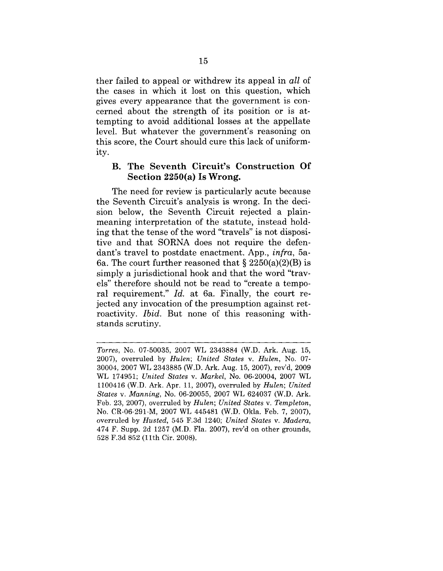ther failed to appeal or withdrew its appeal in *all* of the cases in which it lost on this question, which gives every appearance that the government is concerned about the strength of its position or is attempting to avoid additional losses at the appellate level. But whatever the government's reasoning on this score, the Court should cure this lack of uniformity.

### **B. The Seventh Circuit's Construction Of Section 2250(a) Is Wrong.**

The need for review is particularly acute because the Seventh Circuit's analysis is wrong. In the decision below, the Seventh Circuit rejected a plainmeaning interpretation of the statute, instead holding that the tense of the word "travels" is not dispositire and that SORNA does not require the defendant's travel to postdate enactment. App., *infra,* 5a-6a. The court further reasoned that  $\S 2250(a)(2)(B)$  is simply a jurisdictional hook and that the word "travels" therefore should not be read to "create a temporal requirement." *Id.* at 6a. Finally, the court rejected any invocation of the presumption against retroactivity. *Ibid.* But none of this reasoning withstands scrutiny.

*Torres,* No. 07-50035, 2007 WL 2343884 (W.D. Ark. Aug. 15, 2007), overruled by *Hulen; United States v. Hulen,* No. 07- 30004, 2007 WL 2343885 (W.D. Ark. Aug. 15, 2007), rev'd, 2009 WL 174951; *United States v. Markel,* No. 06-20004, 2007 WL 1100416 (W.D. Ark. Apr. 11, 2007), overruled by *Hulen; United States v. Manning,* No. 06-20055, 2007 WL 624037 (W.D. Ark. Feb. 23, 2007), overruled by *Hulen; United States v. Templeton,* No. CR-06-291-M, 2007 WL 445481 (W.D. Okla. Feb. 7, 2007), overruled by *Husted,* 545 F.3d 1240; *United States v. Madera,* 474 F. Supp. 2d 1257 (M.D. Fla. 2007), rev'd on other grounds, 528 F.3d 852 (llth Cir. 2008).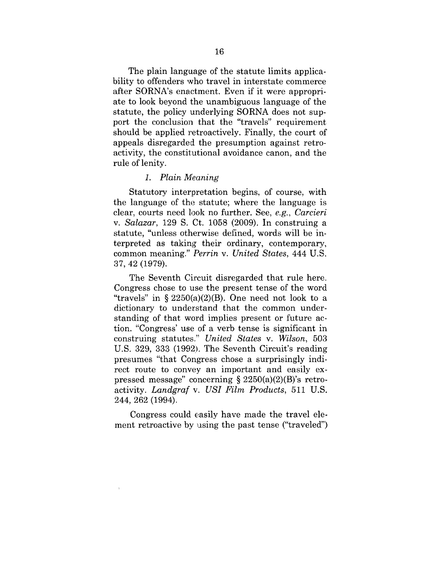The plain language of the statute limits applicability to offenders who travel in interstate commerce after SORNA's enactment. Even if it were appropriate to look beyond the unambiguous language of the statute, the policy underlying SORNA does not support the conclusion that the "travels" requirement should be applied retroactively. Finally, the court of appeals disregarded the presumption against retroactivity, the constitutional avoidance canon, and the rule of lenity.

#### *1. Plain Meaning*

Statutory interpretation begins, of course, with the language of the statute; where the language is clear, courts need look no further. See, *e.g., Carcieri v. Salazar,* 129 S. Ct. 1058 (2009). In construing a statute, "unless otherwise defined, words will be interpreted as taking their ordinary, contemporary, common meaning." *Perrin v. United States,* 444 U.S. 37, 42 (1979).

The Seventh Circuit disregarded that rule here. Congress chose to use the present tense of the word "travels" in  $\S 2250(a)(2)(B)$ . One need not look to a dictionary to understand that the common understanding of that word implies present or future action. "Congress' use of a verb tense is significant in construing statutes." *United States v. Wilson,* 503 U.S. 329, 333  $(1992)$ . The Seventh Circuit's reading presumes "that Congress chose a surprisingly indirect route to convey an important and easily expressed message" concerning  $\S 2250(a)(2)(B)$ 's retroactivity. *Landgraf v. USI Film Products,* 511 U.S. 244, 262 (1994).

Congress could easily have made the travel element retroactive by using the past tense ("traveled")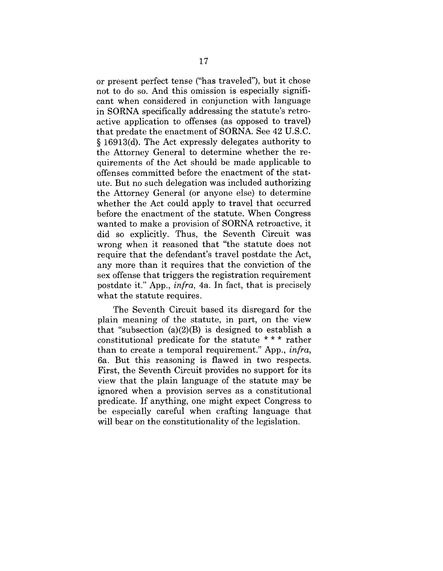or present perfect tense ("has traveled"), but it chose not to do so. And this omission is especially significant when considered in conjunction with language in SORNA specifically addressing the statute's retroactive application to offenses (as opposed to travel) that predate the enactment of SORNA. See 42 U.S.C. § 16913(d). The Act expressly delegates authority to the Attorney General to determine whether the requirements of the Act should be made applicable to offenses committed before the enactment of the statute. But no such delegation was included authorizing the Attorney General (or anyone else) to determine whether the Act could apply to travel that occurred before the enactment of the statute. When Congress wanted to make a provision of SORNA retroactive, it did so explicitly. Thus, the Seventh Circuit was wrong when it reasoned that "the statute does not require that the defendant's travel postdate the Act, any more than it requires that the conviction of the sex offense that triggers the registration requirement postdate it." App., *infra,* 4a. In fact, that is precisely what the statute requires.

The Seventh Circuit based its disregard for the plain meaning of the statute, in part, on the view that "subsection  $(a)(2)(B)$  is designed to establish a constitutional predicate for the statute \* \* \* rather than to create a temporal requirement." App., *infra,* 6a. But this reasoning is flawed in two respects. First, the Seventh Circuit provides no support for its view that the plain language of the statute may be ignored when a provision serves as a constitutional predicate. If anything, one might expect Congress to be especially careful when crafting language that will bear on the constitutionality of the legislation.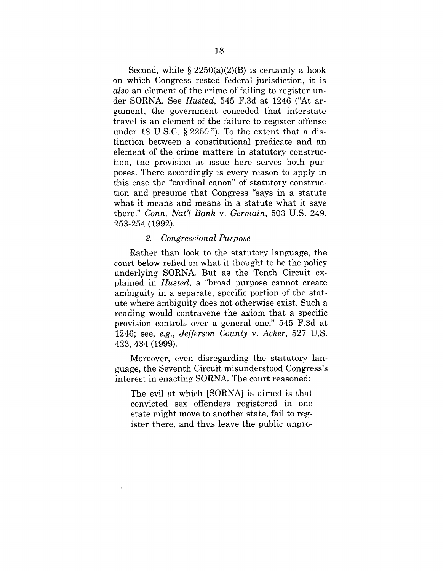Second, while  $\S 2250(a)(2)(B)$  is certainly a hook on which Congress rested federal jurisdiction, it is *also* an element of the crime of failing to register under SORNA. See *Husted*, 545 F.3d at 1246 ("At argument, the government conceded that interstate travel is an element of the failure to register offense under 18 U.S.C.  $\S$  2250."). To the extent that a distinction between a constitutional predicate and an element of the crime matters in statutory construction, the provision at issue here serves both purposes. There accordingly is every reason to apply in this case the "cardinal canon" of statutory construction and presume that Congress "says in a statute what it means and means in a statute what it says there." *Conn. Nat'l Bank v. Germain,* 503 U.S. 249, 253-254 (1992).

#### *2. Congressional Purpose*

Rather than look to the statutory language, the court below relied on what it thought to be the policy underlying SORNA. But as the Tenth Circuit explained in *Husted,* a '%road purpose cannot create ambiguity in a separate, specific portion of the statute where ambiguity does not otherwise exist. Such a reading would contravene the axiom that a specific provision controls over a general one." 545 F.3d at 1246; see, *e.g., Jefferson County v. Acker,* 527 U.S. 423, 434 (1999).

Moreover, even disregarding the statutory language, the Seventh Circuit misunderstood Congress's interest in enacting SORNA. The court reasoned:

The evil at which [SORNA] is aimed is that convicted sex offenders registered in one state might move to another state, fail to register there, and thus leave the public unpro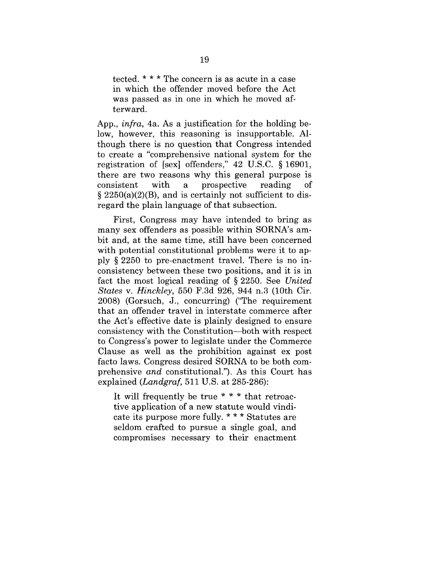tected. \* \* \* The concern is as acute in a case in which the offender moved before the Act was passed as in one in which he moved afterward.

App., *infra,* 4a. As a justification for the holding below, however, this reasoning is insupportable. AIthough there is no question that Congress intended to create a "comprehensive national system for the registration of [sex] offenders," 42 U.S.C. § 16901, there are two reasons why this general purpose is consistent with a prospective reading οf  $\S 2250(a)(2)(B)$ , and is certainly not sufficient to disregard the plain language of that subsection.

First, Congress may have intended to bring as many sex offenders as possible within SORNA's ambit and, at the same time, still have been concerned with potential constitutional problems were it to apply § 2250 to pre-enactment travel. There is no inconsistency between these two positions, and it is in fact the most logical reading of § 2250. See *United States v. Hinckley,* 550 F.3d 926, 944 n.3 (10th Cir. 2008) (Gorsuch, J., concurring) ("The requirement that an offender travel in interstate commerce after the Act's effective date is plainly designed to ensure consistency with the Constitution--both with respect to Congress's power to legislate under the Commerce Clause as well as the prohibition against ex post facto laws. Congress desired SORNA to be both comprehensive *and* constitutional."). As this Court has explained *(Landgraf,* 511 U.S. at 285-286):

It will frequently be true \* \* \* that retroactive application of a new statute would vindicate its purpose more fully. \* \* \* Statutes are seldom crafted to pursue a single goal, and compromises necessary to their enactment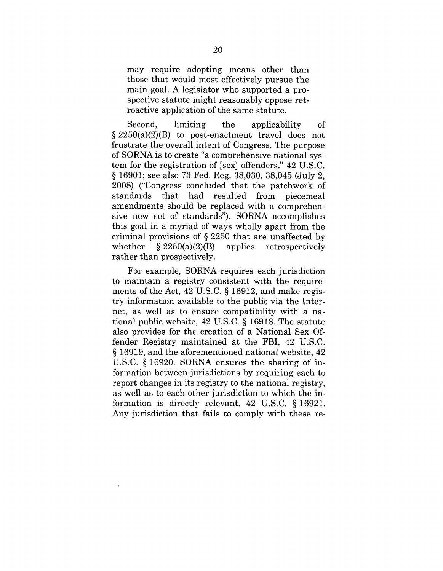may require adopting means other than those that would most effectively pursue the main goal. A legislator who supported a prospective statute might reasonably oppose retroactive application of the same statute.

Second, limiting the applicability of  $\S 2250(a)(2)(B)$  to post-enactment travel does not frustrate the overall intent of Congress. The purpose of SORNA is to create "a comprehensive national system for the registration of [sex] offenders." 42 U.S.C. § 16901; see also 73 Fed. Reg. 38,030, 38,045 (July 2, 2008) ("Congress concluded that the patchwork of standards that had resulted from piecemeal amendments should be replaced with a comprehensive new set of standards"). SORNA accomplishes this goal in a myriad of ways wholly apart from the criminal provisions of § 2250 that are unaffected by whether  $\S 2250(a)(2)(B)$  applies retrospectively rather than prospectively.

For example, SORNA requires each jurisdiction to maintain a registry consistent with the requirements of the Act, 42 U.S.C. § 16912, and make registry information available to the public via the Internet, as well as to ensure compatibility with a national public website, 42 U.S.C. § 16918. The statute also provides for the creation of a National Sex Offender Registry maintained at the FBI, 42 U.S.C. § 16919, and the aforementioned national website, 42 U.S.C. § 16920. SORNA ensures the sharing of information between jurisdictions by requiring each to report changes in its registry to the national registry, as well as to each other jurisdiction to which the information is directly relevant. 42 U.S.C. § 16921. Any jurisdiction that fails to comply with these re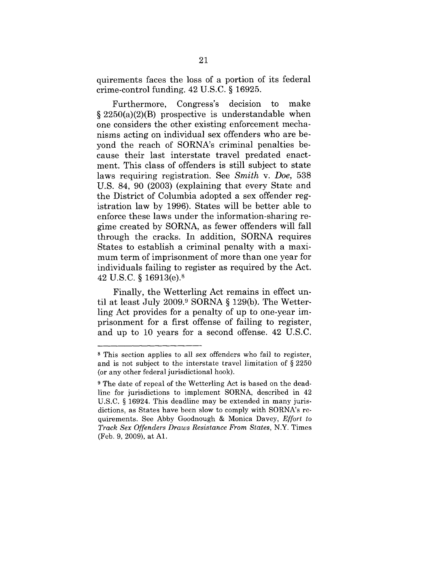quirements faces the loss of a portion of its federal crime-control funding. 42 U.S.C. § 16925.

Furthermore, Congress's decision to make  $§ 2250(a)(2)(B)$  prospective is understandable when one considers the other existing enforcement mechanisms acting on individual sex offenders who are beyond the reach of SORNA's criminal penalties because their last interstate travel predated enactment. This class of offenders is still subject to state laws requiring registration. See *Smith v. Doe,* 538 U.S. 84, 90 (2003) (explaining that every State and the District of Columbia adopted a sex offender registration law by 1996). States will be better able to enforce these laws under the information-sharing regime created by SORNA, as fewer offenders will fall through the cracks. In addition, SORNA requires States to establish a criminal penalty with a maximum term of imprisonment of more than one year for individuals failing to register as required by the Act. 42 U.S.C. § 16913(e).s

Finally, the Wetterling Act remains in effect until at least July 2009.9 SORNA § 129(b). The Wetterling Act provides for a penalty of up to one-year imprisonment for a first offense of failing to register, and up to 10 years for a second offense. 42 U.S.C.

s This section applies to all sex offenders who fail to register, and is not subject to the interstate travel limitation of § 2250 (or any other federal jurisdictional hook).

<sup>9</sup> The date of repeal of the Wetterling Act is based on the deadline for jurisdictions to implement SORNA, described in 42 U.S.C. § 16924. This deadline may be extended in many jurisdictions, as States have been slow to comply with SORNA's requirements. See Abby Goodnough & Monica Davey, *Effort to Track Sex Offenders Draws Resistance From States,* N.Y. Times (Feb. 9, 2009), at A1.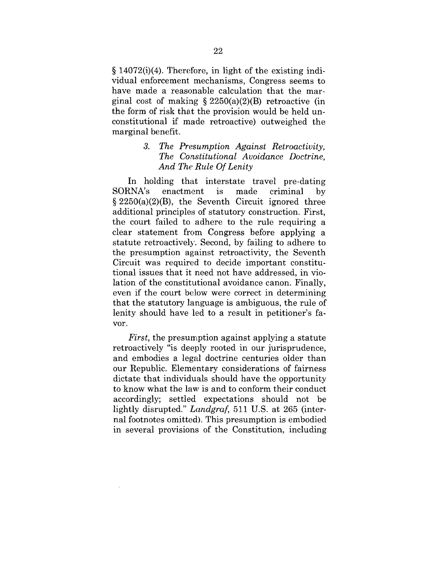§ 14072(i)(4). Therefore, in light of the existing individual enforcement mechanisms, Congress seems to have made a reasonable calculation that the marginal cost of making § 2250(a)(2)(B) retroactive (in the form of risk that the provision would be held unconstitutional if made retroactive) outweighed the marginal benefit.

### *3. The Presumption Against Retroactivity, The Constitutional Avoidance Doctrine, And The Rule Of Lenity*

In holding that interstate travel pre-dating SORNA's enactment is made criminal by  $§ 2250(a)(2)(B)$ , the Seventh Circuit ignored three additional principles of statutory construction. First, the court failed to adhere to the rule requiring a clear statement from Congress before applying a statute retroactively. Second, by failing to adhere to the presumption against retroactivity, the Seventh Circuit was required to decide important constitutional issues that it need not have addressed, in violation of the constitutional avoidance canon. Finally, even if the court below were correct in determining that the statutory language is ambiguous, the rule of lenity should have led to a result in petitioner's favor.

*First,* the presumption against applying a statute retroactively "is deeply rooted in our jurisprudence, and embodies a legal doctrine centuries older than our Republic. Elementary considerations of fairness dictate that individuals should have the opportunity to know what the law is and to conform their conduct accordingly; settled expectations should not be lightly disrupted." *Landgraf,* 511 U.S. at 265 (internal footnotes omitted). This presumption is embodied in several provisions of the Constitution, including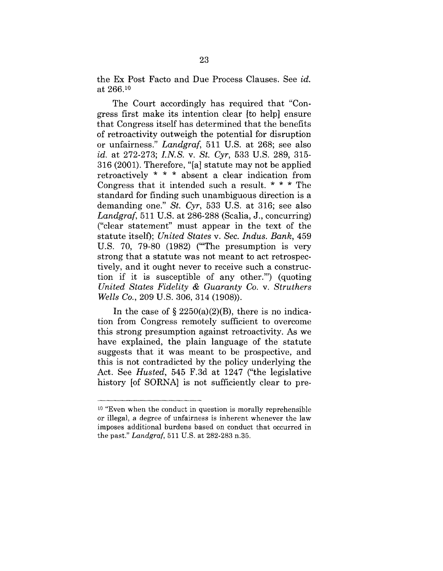the Ex Post Facto and Due Process Clauses. See *id.* at 266.l°

The Court accordingly has required that "Congress first make its intention clear [to help] ensure that Congress itself has determined that the benefits of retroactivity outweigh the potential for disruption or unfairness." *Landgraf,* 511 U.S. at 268; see also *id.* at 272-273; *I.N.S.v. St. Cyr,* 533 U.S. 289, 315- 316 (2001). Therefore, "[a] statute may not be applied retroactively \* \* \* absent a clear indication from Congress that it intended such a result. \* \* \* The standard for finding such unambiguous direction is a demanding one." *St. Cyr,* 533 U.S. at 316; see also *Landgraf,* 511 U.S. at 286-288 (Scalia, J., concurring) ("clear statement" must appear in the text of the statute itself); *United States v. Sec. Indus. Bank,* 459 U.S. 70, 79-80 (1982) ('"The presumption is very strong that a statute was not meant to act retrospectively, and it ought never to receive such a construction if it is susceptible of any other."') (quoting *United States Fidelity & Guaranty Co. v. Struthers Wells Co.,* 209 U.S. 306, 314 (1908)).

In the case of  $\S 2250(a)(2)(B)$ , there is no indication from Congress remotely sufficient to overcome this strong presumption against retroactivity. As we have explained, the plain language of the statute suggests that it was meant to be prospective, and this is not contradicted by the policy underlying the Act. See *Husted,* 545 F.3d at 1247 ("the legislative history [of SORNA] is not sufficiently clear to pre-

<sup>10 &</sup>quot;Even when the conduct in question is morally reprehensible or illegal, a degree of unfairness is inherent whenever the law imposes additional burdens based on conduct that occurred in the past." *Landgraf,* 511 U.S. at 282-283 n.35.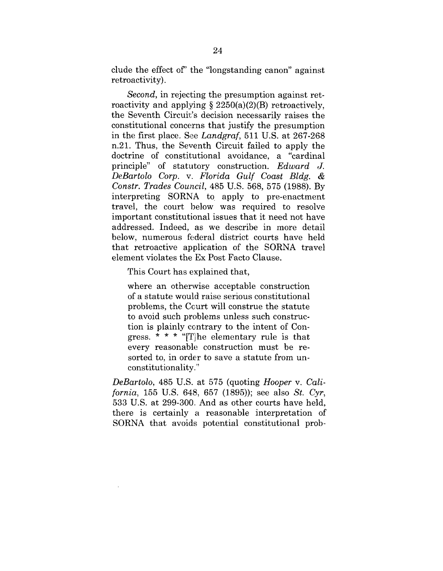clude the effect of' the "longstanding canon" against retroactivity).

*Second,* in rejecting the presumption against retroactivity and applying  $\S 2250(a)(2)(B)$  retroactively, the Seventh Circuit's decision necessarily raises the constitutional concerns that justify the presumption in the first place. See *Landgraf,* 511 U.S. at 267-268 n.21. Thus, the Seventh Circuit failed to apply the doctrine of constitutional avoidance, a "cardinal principle" of statutory construction. *Edward J. DeBartolo Corp. v. Florida Gulf Coast Bldg. & Constr. Trades Council,* 485 U.S. 568, 575 (1988). By interpreting SORNA to apply to pre-enactment travel, the court below was required to resolve important constitutional issues that it need not have addressed. Indeed, as we describe in more detail below, numerous federal district courts have held that retroactive application of the SORNA travel element violates the Ex Post Facto Clause.

This Court has explained that,

where an otherwise acceptable construction of a statute would raise serious constitutional problems, the Court will construe the statute to avoid such problems unless such construction is plainly contrary to the intent of Congress.  $* * * "T]$ he elementary rule is that every reasonable construction must be resorted to, in order to save a statute from unconstitutionality."

*DeBartolo,* 485 U.S. at 575 (quoting *Hooper v. California,* 155 U.S. 648, 657 (1895)); see also *St. Cyr,* 533 U.S. at 299-300. And as other courts have held, there is certainly a reasonable interpretation of SORNA that avoids potential constitutional prob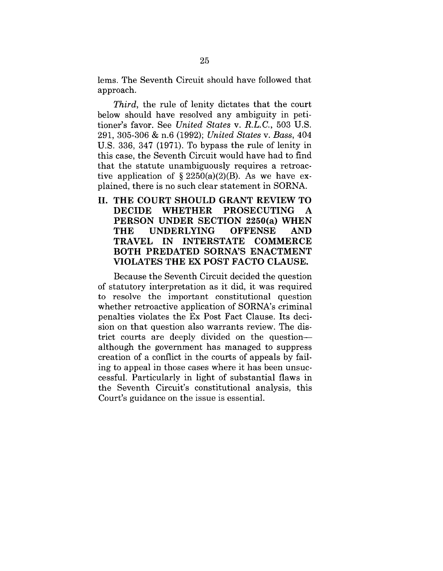lems. The Seventh Circuit should have followed that approach.

*Third,* the rule of lenity dictates that the court below should have resolved any ambiguity in petitioner's favor. See *United States v. R.L.C.,* 503 U.S. 291, 305-306 & n.6 (1992); *United States v. Bass,* 404 U.S. 336, 347 (1971). To bypass the rule of lenity in this case, the Seventh Circuit would have had to find that the statute unambiguously requires a retroactive application of  $\S 2250(a)(2)(B)$ . As we have explained, there is no such clear statement in SORNA.

**II. THE COURT SHOULD GRANT REVIEW TO DECIDE WHETHER PROSECUTING A PERSON UNDER SECTION 2250(a) WHEN** THE UNDERLYING OFFENSE AND<br>TRAVEL IN INTERSTATE COMMERCE  $\blacksquare$  **INTERSTATE BOTH PREDATED SORNA'S ENACTMENT VIOLATES THE EX POST FACTO CLAUSE.**

Because the Seventh Circuit decided the question of statutory interpretation as it did, it was required to resolve the important constitutional question whether retroactive application of SORNA's criminal penalties violates the Ex Post Fact Clause. Its decision on that question also warrants review. The district courts are deeply divided on the question- although the government has managed to suppress creation of a conflict in the courts of appeals by failing to appeal in those cases where it has been unsuccessful. Particularly in light of substantial flaws in the Seventh Circuit's constitutional analysis, this Court's guidance on the issue is essential.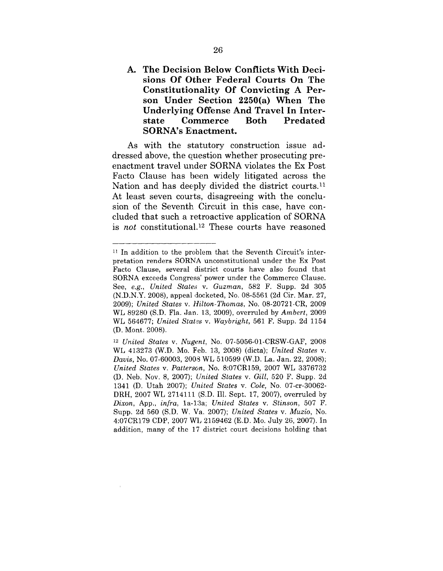**A. The Decision Below Conflicts With Decisions Of Other Federal Courts On The Constitutionality Of Convicting A Person Under Section 2250(a) When The Underlying Offense And Travel In Interstate Commerce Both Predated SORNA's Enactment.**

As with the statutory construction issue addressed above, the question whether prosecuting preenactment travel under SORNA violates the Ex Post Facto Clause has been widely litigated across the Nation and has deeply divided the district courts.<sup>11</sup> At least seven courts, disagreeing with the conclusion of the Seventh. Circuit in this case, have concluded that such a retroactive application of SORNA is *not* constitutional.12 These courts have reasoned

<sup>11</sup> In addition to the problem that the Seventh Circuit's interpretation renders SORNA unconstitutional under the Ex Post Facto Clause, several district courts have also found that SORNA exceeds Congress' power under the Commerce Clause. See, *e.g., United States v. Guzman*, 582 F. Supp. 2d 305 (N.D.N.Y. 2008), appeal docketed, No. 08-5561 (2d Cir. Mar. 27, 2009); *United States v. Hilton-Thomas,* No. 08-20721-CR, 2009 WL 89280 (S.D. Fla. Jan. 13, 2009), overruled by *Ambert,* 2009 WL 564677; *United States v. Waybright*, 561 F. Supp. 2d 1154 (D. Mont. 2008).

*<sup>12</sup> United States v. Nugent,* No. 07-5056-01-CRSW-GAF, 2008 WL 413273 (W.D. Mo. Feb. 13, 2008) (dicta); *United States v. Davis*, No. 07-60003, 2003 WL 510599 (W.D. La. Jan. 22, 2008); *United States v. Patterson,* No. 8:07CR159, 2007 WL 3376732 (D. Neb. Nov. 8, 2007); *United States v. Gill,* 520 F. Supp. 2d 1341 (D. Utah 2007); *United States v. Cole,* No. 07-cr-30062- DRH, 2007 WL 2714111 (S.D. Ill. Sept. 17, 2007), overruled by *Dixon, App., infra, 1a-13a; United States v. Stinson, 507 F.* Supp. 2d 560 (S.D.W. Va. 2007); *United States v. Muzio,* No. 4:07CR179 CDP, 2007 WL 2159462 (E.D. Mo. July 26, 2007). In addition, many of the 17 district court decisions holding that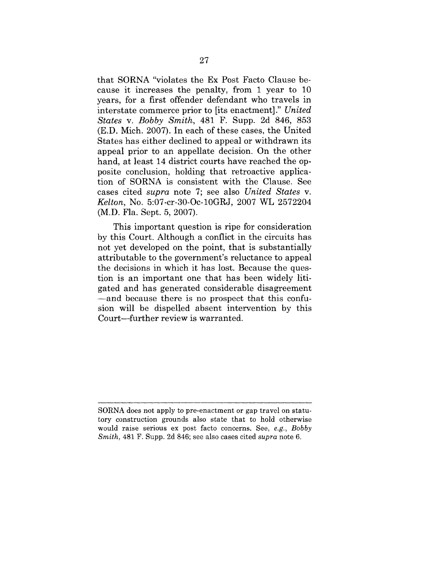that SORNA "violates the Ex Post Facto Clause because it increases the penalty, from 1 year to 10 years, for a first offender defendant who travels in interstate commerce prior to [its enactment]." *United States v. Bobby Smith,* 481 F. Supp. 2d 846, 853 (E.D. Mich. 2007). In each of these cases, the United States has either declined to appeal or withdrawn its appeal prior to an appellate decision. On the other hand, at least 14 district courts have reached the opposite conclusion, holding that retroactive application of SORNA is consistent with the Clause. See cases cited *supra* note 7; see also *United States v. Kelton,* No. 5:07-cr-30-Oc-10GRJ, 2007 WL 2572204 (M.D. Fla. Sept. 5, 2007).

This important question is ripe for consideration by this Court. Although a conflict in the circuits has not yet developed on the point, that is substantially attributable to the government's reluctance to appeal the decisions in which it has lost. Because the question is an important one that has been widely litigated and has generated considerable disagreement -- and because there is no prospect that this confusion will be dispelled absent intervention by this Court--further review is warranted.

SORNA does not apply to pre-enactment or gap travel on statutory construction grounds also state that to hold otherwise would raise serious ex post facto concerns. See, *e.g., Bobby Smith,* 481 F. Supp. 2d 846; see also cases cited *supra* note 6.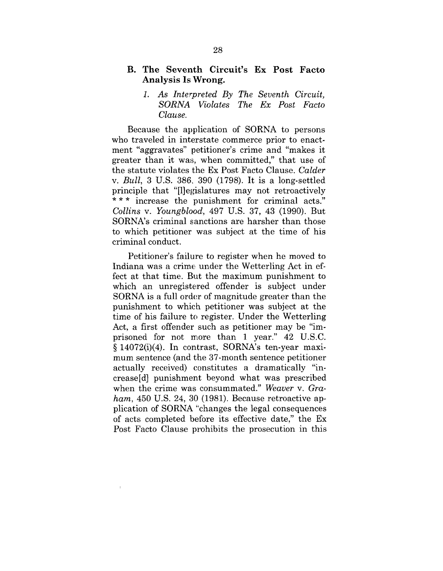#### **B. The Seventh Circuit's Ex Post Facto Analysis Is Wrong.**

### *1. As Interpreted By The Seventh Circuit, SORNA Violates The Ex Post Facto Clause.*

Because the application of SORNA to persons who traveled in interstate commerce prior to enactment "aggravates" petitioner's crime and "makes it greater than it was, when committed," that use of the statute violates the Ex Post Facto Clause. *Calder v. Bull,* 3 U.S. 386, 390 (1798). It is a long-settled principle that "[1legislatures may not retroactively \*\*\* increase the punishment for criminal acts." *Collins v. Youngblood,* 497 U.S. 37, 43 (1990). But SORNA's criminal sanctions are harsher than those to which petitioner was subject at the time of his criminal conduct.

Petitioner's failure to register when he moved to Indiana was a crime, under the Wetterling Act in effect at that time. But the maximum punishment to which an unregistered offender is subject under SORNA is a full order of magnitude greater than the punishment to which petitioner was subject at the time of his failure to register. Under the Wetterling Act, a first offender such as petitioner may be "imprisoned for not more than 1 year."  $42$  U.S.C. § 14072(i)(4). In contrast, SORNA's ten-year maximum sentence (and the 37-month sentence petitioner actually received) constitutes a dramatically "increase[d] punishment beyond what was prescribed when the crime was consummated." *Weaver v. Graham,* 450 U.S. 24, 30 (1981). Because retroactive application of SORNA "changes the legal consequences of acts completed before its effective date," the Ex Post Facto Clause prohibits the prosecution in this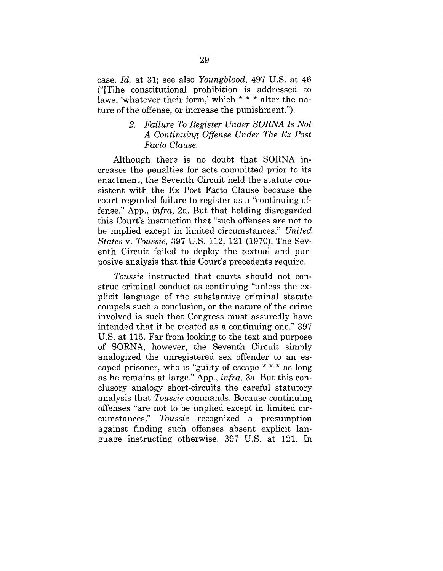case. *Id.* at 31; see also *Youngblood,* 497 U.S. at 46 ("[T]he constitutional prohibition is addressed to laws, 'whatever their form,' which \* \* \* alter the nature of the offense, or increase the punishment.").

### *2. Failure To Register Under SORNA Is Not A Continuing Offense Under The Ex Post Facto Clause.*

Although there is no doubt that SORNA increases the penalties for acts committed prior to its enactment, the Seventh Circuit held the statute consistent with the Ex Post Facto Clause because the court regarded failure to register as a "continuing offense." App., *infra,* 2a. But that holding disregarded this Court's instruction that "such offenses are not to be implied except in limited circumstances." *United States v. Toussie,* 397 U.S. 112, 121 (1970). The Seventh Circuit failed to deploy the textual and purposive analysis that this Court's precedents require.

*Toussie* instructed that courts should not construe criminal conduct as continuing "unless the explicit language of the substantive criminal statute compels such a conclusion, or the nature of the crime involved is such that Congress must assuredly have intended that it be treated as a continuing one." 397 U.S. at 115. Far from looking to the text and purpose of SORNA, however, the Seventh Circuit simply analogized the unregistered sex offender to an escaped prisoner, who is "guilty of escape \* \* \* as long as he remains at large." App., *infra,* 3a. But this conclusory analogy short-circuits the careful statutory analysis that *Toussie* commands. Because continuing offenses "are not to be implied except in limited circumstances," *Toussie* recognized a presumption against finding such offenses absent explicit language instructing otherwise. 397 U.S. at 121. In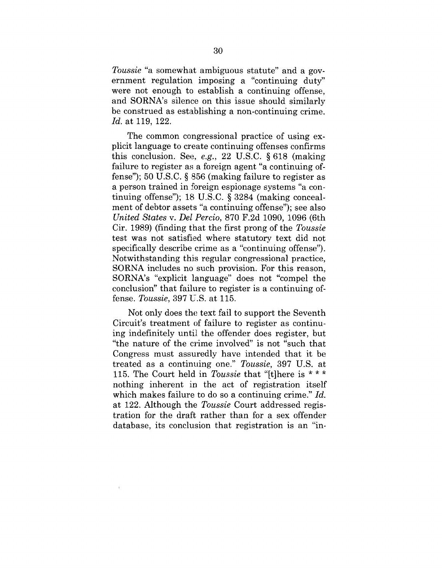*Toussie* "a somewhat ambiguous statute" and a government regulation imposing a "continuing duty" were not enough to establish a continuing offense, and SORNA's silence on this issue should similarly be construed as establishing a non-continuing crime. *Id.* at 119, 122.

The common congressional practice of using explicit language to create continuing offenses confirms this conclusion. See, *e.g.,* 22 U.S.C. § 618 (making failure to register as a foreign agent "a continuing offense"); 50 U.S.C. § 856 (making failure to register as a person trained in foreign espionage systems "a continuing offense"); 18 U.S.C. § 3284 (making concealment of debtor assets "a continuing offense"); see also *United States v. Del Percio,* 870 F.2d 1090, 1096 (6th Cir. 1989) (finding that the first prong of the *Toussie* test was not satisfied where statutory text did not specifically describe crime as a "continuing offense"). Notwithstanding this regular congressional practice, SORNA includes no such provision. For this reason, SORNA's "explicit language" does not "compel the conclusion" that failure to register is a continuing offense. *Toussie,* 397 U.S. at 115.

Not only does the text fail to support the Seventh Circuit's treatment of failure to register as continuing indefinitely until the offender does register, but "the nature of the crime involved" is not "such that Congress must assuredly have intended that it be treated as a continuing one." *Toussie,* 397 U.S. at 115. The Court held in *Toussie* that "[t]here is \* \* \* nothing inherent in the act of registration itself which makes failure to do so a continuing crime." *Id.* at 122. Although the *Toussie* Court addressed registration for the draft rather than for a sex offender database, its conclusion that registration is an "in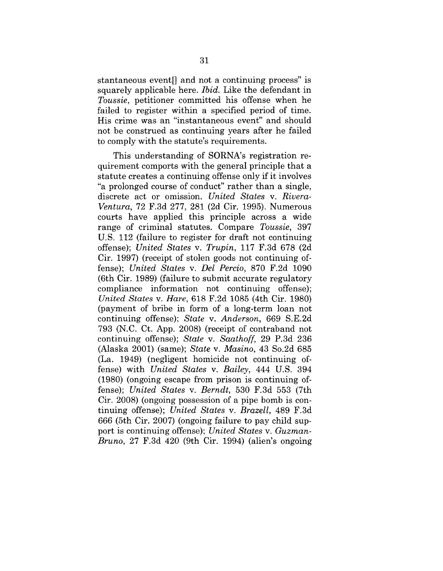stantaneous event<sup> $\parallel$ </sup> and not a continuing process" is squarely applicable here. *Ibid.* Like the defendant in *Toussie,* petitioner committed his offense when he failed to register within a specified period of time. His crime was an "instantaneous event" and should not be construed as continuing years after he failed to comply with the statute's requirements.

This understanding of SORNA's registration requirement comports with the general principle that a statute creates a continuing offense only if it involves "a prolonged course of conduct" rather than a single, discrete act or omission. *United States v. Rivera-Ventura,* 72 F.3d 277, 281 (2d Cir. 1995). Numerous courts have applied this principle across a wide range of criminal statutes. Compare *Toussie,* 397 U.S. 112 (failure to register for draft not continuing offense); *United States v. Trupin,* 117 F.3d 678 (2d Cir. 1997) (receipt of stolen goods not continuing offense); *United States v. Del Percio,* 870 F.2d 1090 (6th Cir. 1989) (failure to submit accurate regulatory compliance information not continuing offense); *United States v. Hare,* 618 F.2d 1085 (4th Cir. 1980) (payment of bribe in form of a long-term loan not continuing offense); *State v. Anderson,* 669 S.E.2d 793 (N.C. Ct. App. 2008) (receipt of contraband not continuing offense); *State v. Saathoff,* 29 P.3d 236 (Alaska 2001) (same); *State v. Masino,* 43 So.2d 685 (La. 1949) (negligent homicide not continuing offense) with *United States v. Bailey,* 444 U.S. 394 (1980) (ongoing escape from prison is continuing oflense); *United States v. Berndt,* 530 F.3d 553 (7th Cir. 2008) (ongoing possession of a pipe bomb is continuing offense); *United States v. Brazell,* 489 F.3d 666 (5th Cir. 2007) (ongoing failure to pay child support is continuing offense); *United States v. Guzman-Bruno,* 27 F.3d 420 (9th Cir. 1994) (alien's ongoing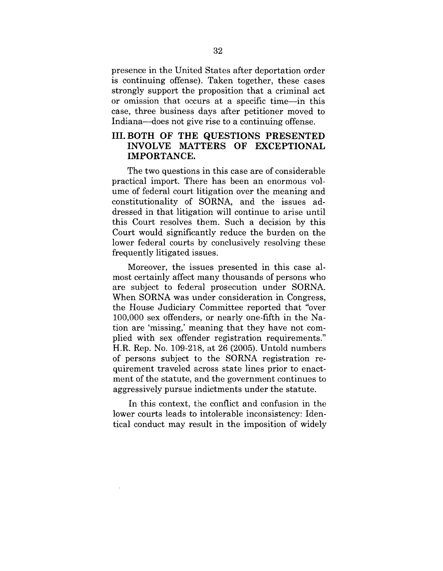presence in the United States after deportation order is continuing offense). Taken together, these cases strongly support the proposition that a criminal act or omission that occurs at a specific time—in this case, three business days after petitioner moved to Indiana--does not give rise to a continuing offense.

### **III.BOTH OF TIlE QUESTIONS PRESENTED** INVOLVE MATTERS OF EXCEPTIONAL **IMPORTANCE.**

The two questions in this case are of considerable practical import. There has been an enormous volume of federal court litigation over the meaning and constitutionality of SORNA, and the issues addressed in that litigation will continue to arise until this Court resolves them. Such a decision by this Court would significantly reduce the burden on the lower federal courts by conclusively resolving these frequently litigated issues.

Moreover, the issues presented in this case almost certainly affect many thousands of persons who are subject to federal prosecution under SORNA. When SORNA was under consideration in Congress, the House Judiciary Committee reported that "over 100,000 sex offenders, or nearly one-fifth in the Nation are 'missing,' meaning that they have not complied with sex offender registration requirements." H.R. Rep. No. 109-218, at 26 (2005). Untold numbers of persons subject to the SORNA registration requirement traveled across state lines prior to enactment of the statute, and the government continues to aggressively pursue indictments under the statute.

In this context, the conflict and confusion in the lower courts leads to intolerable inconsistency: Identical conduct may result in the imposition of widely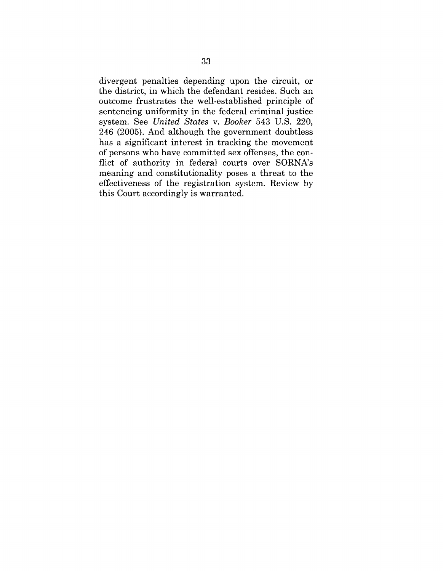divergent penalties depending upon the circuit, or the district, in which the defendant resides. Such an outcome frustrates the well-established principle of sentencing uniformity in the federal criminal justice system. See *United States v. Booker* 543 U.S. 220, 246 (2005). And although the government doubtless has a significant interest in tracking the movement of persons who have committed sex offenses, the conflict of authority in federal courts over SORNA's meaning and constitutionality poses a threat to the effectiveness of the registration system. Review by this Court accordingly is warranted.